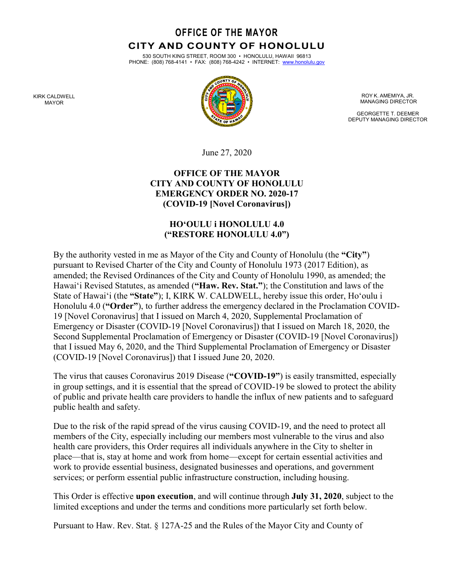**OFFICE OF THE MAYOR CITY AND COUNTY OF HONOLULU** 

530 SOUTH KING STREET, ROOM 300 • HONOLULU, HAWAII 96813 PHONE: (808) 768-4141 • FAX: (808) 768-4242 • INTERNET: [www.honolulu.gov](http://www.honolulu.gov/)



ROY K. AMEMIYA, JR. MANAGING DIRECTOR

GEORGETTE T. DEEMER DEPUTY MANAGING DIRECTOR

June 27, 2020

### **OFFICE OF THE MAYOR CITY AND COUNTY OF HONOLULU EMERGENCY ORDER NO. 2020-17 (COVID-19 [Novel Coronavirus])**

### **HO'OULU i HONOLULU 4.0 ("RESTORE HONOLULU 4.0")**

By the authority vested in me as Mayor of the City and County of Honolulu (the **"City"**) pursuant to Revised Charter of the City and County of Honolulu 1973 (2017 Edition), as amended; the Revised Ordinances of the City and County of Honolulu 1990, as amended; the Hawaiʻi Revised Statutes, as amended (**"Haw. Rev. Stat."**); the Constitution and laws of the State of Hawaiʻi (the **"State"**); I, KIRK W. CALDWELL, hereby issue this order, Ho'oulu i Honolulu 4.0 (**"Order"**), to further address the emergency declared in the Proclamation COVID-19 [Novel Coronavirus] that I issued on March 4, 2020, Supplemental Proclamation of Emergency or Disaster (COVID-19 [Novel Coronavirus]) that I issued on March 18, 2020, the Second Supplemental Proclamation of Emergency or Disaster (COVID-19 [Novel Coronavirus]) that I issued May 6, 2020, and the Third Supplemental Proclamation of Emergency or Disaster (COVID-19 [Novel Coronavirus]) that I issued June 20, 2020.

The virus that causes Coronavirus 2019 Disease (**"COVID-19"**) is easily transmitted, especially in group settings, and it is essential that the spread of COVID-19 be slowed to protect the ability of public and private health care providers to handle the influx of new patients and to safeguard public health and safety.

Due to the risk of the rapid spread of the virus causing COVID-19, and the need to protect all members of the City, especially including our members most vulnerable to the virus and also health care providers, this Order requires all individuals anywhere in the City to shelter in place—that is, stay at home and work from home—except for certain essential activities and work to provide essential business, designated businesses and operations, and government services; or perform essential public infrastructure construction, including housing.

This Order is effective **upon execution**, and will continue through **July 31, 2020**, subject to the limited exceptions and under the terms and conditions more particularly set forth below.

Pursuant to Haw. Rev. Stat. § 127A-25 and the Rules of the Mayor City and County of

KIRK CALDWELL MAYOR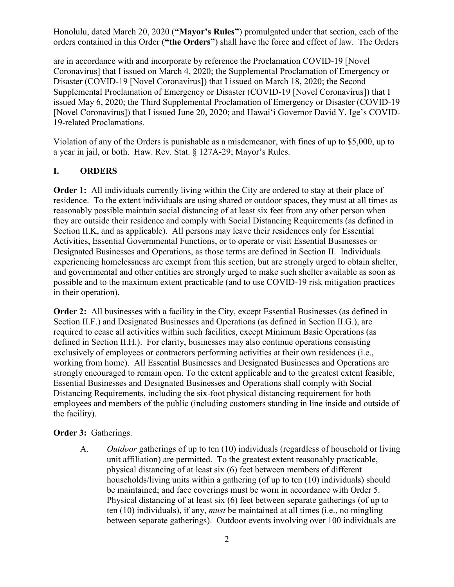Honolulu, dated March 20, 2020 (**"Mayor's Rules"**) promulgated under that section, each of the orders contained in this Order (**"the Orders"**) shall have the force and effect of law. The Orders

are in accordance with and incorporate by reference the Proclamation COVID-19 [Novel Coronavirus] that I issued on March 4, 2020; the Supplemental Proclamation of Emergency or Disaster (COVID-19 [Novel Coronavirus]) that I issued on March 18, 2020; the Second Supplemental Proclamation of Emergency or Disaster (COVID-19 [Novel Coronavirus]) that I issued May 6, 2020; the Third Supplemental Proclamation of Emergency or Disaster (COVID-19 [Novel Coronavirus]) that I issued June 20, 2020; and Hawaiʻi Governor David Y. Ige's COVID-19-related Proclamations.

Violation of any of the Orders is punishable as a misdemeanor, with fines of up to \$5,000, up to a year in jail, or both. Haw. Rev. Stat. § 127A-29; Mayor's Rules.

#### **I. ORDERS**

**Order 1:** All individuals currently living within the City are ordered to stay at their place of residence. To the extent individuals are using shared or outdoor spaces, they must at all times as reasonably possible maintain social distancing of at least six feet from any other person when they are outside their residence and comply with Social Distancing Requirements (as defined in Section II.K, and as applicable). All persons may leave their residences only for Essential Activities, Essential Governmental Functions, or to operate or visit Essential Businesses or Designated Businesses and Operations, as those terms are defined in Section II. Individuals experiencing homelessness are exempt from this section, but are strongly urged to obtain shelter, and governmental and other entities are strongly urged to make such shelter available as soon as possible and to the maximum extent practicable (and to use COVID-19 risk mitigation practices in their operation).

**Order 2:** All businesses with a facility in the City, except Essential Businesses (as defined in Section II.F.) and Designated Businesses and Operations (as defined in Section II.G.), are required to cease all activities within such facilities, except Minimum Basic Operations (as defined in Section II.H.). For clarity, businesses may also continue operations consisting exclusively of employees or contractors performing activities at their own residences (i.e., working from home). All Essential Businesses and Designated Businesses and Operations are strongly encouraged to remain open. To the extent applicable and to the greatest extent feasible, Essential Businesses and Designated Businesses and Operations shall comply with Social Distancing Requirements, including the six-foot physical distancing requirement for both employees and members of the public (including customers standing in line inside and outside of the facility).

#### **Order 3:** Gatherings.

A. *Outdoor* gatherings of up to ten (10) individuals (regardless of household or living unit affiliation) are permitted. To the greatest extent reasonably practicable, physical distancing of at least six (6) feet between members of different households/living units within a gathering (of up to ten (10) individuals) should be maintained; and face coverings must be worn in accordance with Order 5. Physical distancing of at least six (6) feet between separate gatherings (of up to ten (10) individuals), if any, *must* be maintained at all times (i.e., no mingling between separate gatherings). Outdoor events involving over 100 individuals are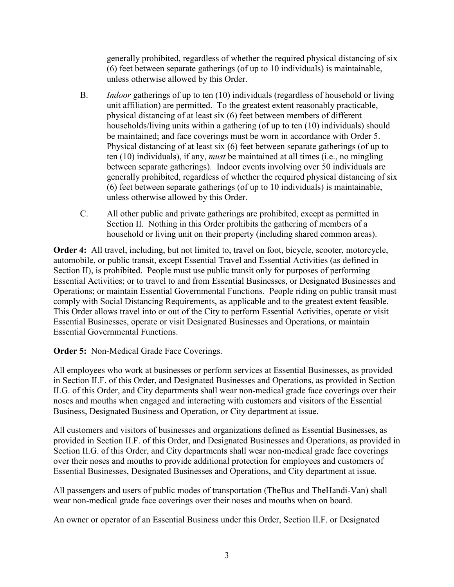generally prohibited, regardless of whether the required physical distancing of six (6) feet between separate gatherings (of up to 10 individuals) is maintainable, unless otherwise allowed by this Order.

- B. *Indoor* gatherings of up to ten (10) individuals (regardless of household or living unit affiliation) are permitted. To the greatest extent reasonably practicable, physical distancing of at least six (6) feet between members of different households/living units within a gathering (of up to ten (10) individuals) should be maintained; and face coverings must be worn in accordance with Order 5. Physical distancing of at least six (6) feet between separate gatherings (of up to ten (10) individuals), if any, *must* be maintained at all times (i.e., no mingling between separate gatherings). Indoor events involving over 50 individuals are generally prohibited, regardless of whether the required physical distancing of six (6) feet between separate gatherings (of up to 10 individuals) is maintainable, unless otherwise allowed by this Order.
- C. All other public and private gatherings are prohibited, except as permitted in Section II. Nothing in this Order prohibits the gathering of members of a household or living unit on their property (including shared common areas).

**Order 4:** All travel, including, but not limited to, travel on foot, bicycle, scooter, motorcycle, automobile, or public transit, except Essential Travel and Essential Activities (as defined in Section II), is prohibited. People must use public transit only for purposes of performing Essential Activities; or to travel to and from Essential Businesses, or Designated Businesses and Operations; or maintain Essential Governmental Functions. People riding on public transit must comply with Social Distancing Requirements, as applicable and to the greatest extent feasible. This Order allows travel into or out of the City to perform Essential Activities, operate or visit Essential Businesses, operate or visit Designated Businesses and Operations, or maintain Essential Governmental Functions.

**Order 5:** Non-Medical Grade Face Coverings.

All employees who work at businesses or perform services at Essential Businesses, as provided in Section II.F. of this Order, and Designated Businesses and Operations, as provided in Section II.G. of this Order, and City departments shall wear non-medical grade face coverings over their noses and mouths when engaged and interacting with customers and visitors of the Essential Business, Designated Business and Operation, or City department at issue.

All customers and visitors of businesses and organizations defined as Essential Businesses, as provided in Section II.F. of this Order, and Designated Businesses and Operations, as provided in Section II.G. of this Order, and City departments shall wear non-medical grade face coverings over their noses and mouths to provide additional protection for employees and customers of Essential Businesses, Designated Businesses and Operations, and City department at issue.

All passengers and users of public modes of transportation (TheBus and TheHandi-Van) shall wear non-medical grade face coverings over their noses and mouths when on board.

An owner or operator of an Essential Business under this Order, Section II.F. or Designated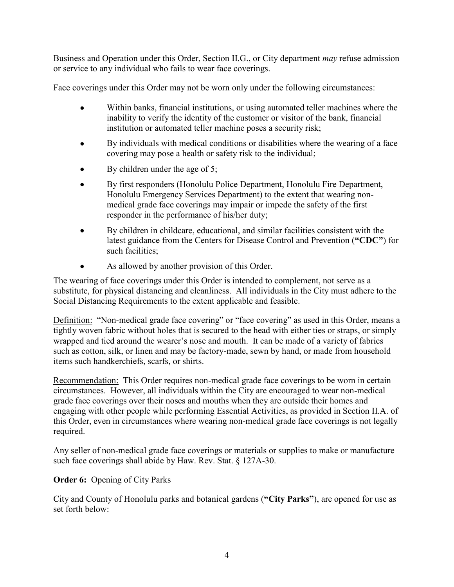Business and Operation under this Order, Section II.G., or City department *may* refuse admission or service to any individual who fails to wear face coverings.

Face coverings under this Order may not be worn only under the following circumstances:

- Within banks, financial institutions, or using automated teller machines where the inability to verify the identity of the customer or visitor of the bank, financial institution or automated teller machine poses a security risk;
- By individuals with medical conditions or disabilities where the wearing of a face covering may pose a health or safety risk to the individual;
- $\bullet$  By children under the age of 5;
- By first responders (Honolulu Police Department, Honolulu Fire Department, Honolulu Emergency Services Department) to the extent that wearing nonmedical grade face coverings may impair or impede the safety of the first responder in the performance of his/her duty;
- By children in childcare, educational, and similar facilities consistent with the latest guidance from the Centers for Disease Control and Prevention (**"CDC"**) for such facilities;
- As allowed by another provision of this Order.

The wearing of face coverings under this Order is intended to complement, not serve as a substitute, for physical distancing and cleanliness. All individuals in the City must adhere to the Social Distancing Requirements to the extent applicable and feasible.

Definition: "Non-medical grade face covering" or "face covering" as used in this Order, means a tightly woven fabric without holes that is secured to the head with either ties or straps, or simply wrapped and tied around the wearer's nose and mouth. It can be made of a variety of fabrics such as cotton, silk, or linen and may be factory-made, sewn by hand, or made from household items such handkerchiefs, scarfs, or shirts.

Recommendation: This Order requires non-medical grade face coverings to be worn in certain circumstances. However, all individuals within the City are encouraged to wear non-medical grade face coverings over their noses and mouths when they are outside their homes and engaging with other people while performing Essential Activities, as provided in Section II.A. of this Order, even in circumstances where wearing non-medical grade face coverings is not legally required.

Any seller of non-medical grade face coverings or materials or supplies to make or manufacture such face coverings shall abide by Haw. Rev. Stat. § 127A-30.

# **Order 6:** Opening of City Parks

City and County of Honolulu parks and botanical gardens (**"City Parks"**), are opened for use as set forth below: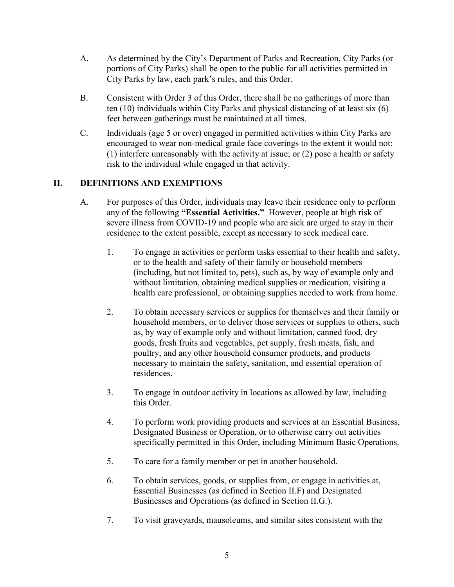- A. As determined by the City's Department of Parks and Recreation, City Parks (or portions of City Parks) shall be open to the public for all activities permitted in City Parks by law, each park's rules, and this Order.
- B. Consistent with Order 3 of this Order, there shall be no gatherings of more than ten (10) individuals within City Parks and physical distancing of at least six (6) feet between gatherings must be maintained at all times.
- C. Individuals (age 5 or over) engaged in permitted activities within City Parks are encouraged to wear non-medical grade face coverings to the extent it would not: (1) interfere unreasonably with the activity at issue; or (2) pose a health or safety risk to the individual while engaged in that activity.

# **II. DEFINITIONS AND EXEMPTIONS**

- A. For purposes of this Order, individuals may leave their residence only to perform any of the following **"Essential Activities."** However, people at high risk of severe illness from COVID-19 and people who are sick are urged to stay in their residence to the extent possible, except as necessary to seek medical care.
	- 1. To engage in activities or perform tasks essential to their health and safety, or to the health and safety of their family or household members (including, but not limited to, pets), such as, by way of example only and without limitation, obtaining medical supplies or medication, visiting a health care professional, or obtaining supplies needed to work from home.
	- 2. To obtain necessary services or supplies for themselves and their family or household members, or to deliver those services or supplies to others, such as, by way of example only and without limitation, canned food, dry goods, fresh fruits and vegetables, pet supply, fresh meats, fish, and poultry, and any other household consumer products, and products necessary to maintain the safety, sanitation, and essential operation of residences.
	- 3. To engage in outdoor activity in locations as allowed by law, including this Order.
	- 4. To perform work providing products and services at an Essential Business, Designated Business or Operation, or to otherwise carry out activities specifically permitted in this Order, including Minimum Basic Operations.
	- 5. To care for a family member or pet in another household.
	- 6. To obtain services, goods, or supplies from, or engage in activities at, Essential Businesses (as defined in Section II.F) and Designated Businesses and Operations (as defined in Section II.G.).
	- 7. To visit graveyards, mausoleums, and similar sites consistent with the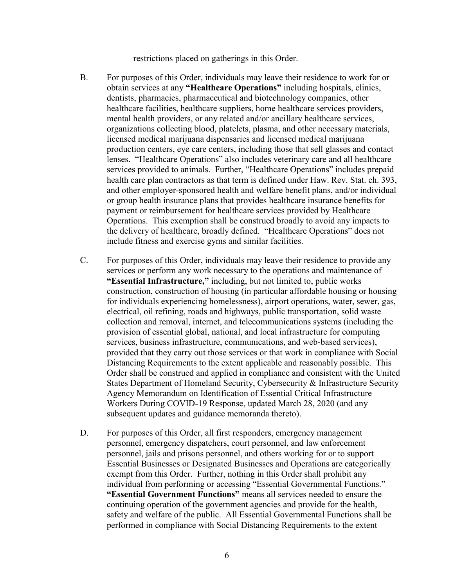restrictions placed on gatherings in this Order.

- B. For purposes of this Order, individuals may leave their residence to work for or obtain services at any **"Healthcare Operations"** including hospitals, clinics, dentists, pharmacies, pharmaceutical and biotechnology companies, other healthcare facilities, healthcare suppliers, home healthcare services providers, mental health providers, or any related and/or ancillary healthcare services, organizations collecting blood, platelets, plasma, and other necessary materials, licensed medical marijuana dispensaries and licensed medical marijuana production centers, eye care centers, including those that sell glasses and contact lenses. "Healthcare Operations" also includes veterinary care and all healthcare services provided to animals. Further, "Healthcare Operations" includes prepaid health care plan contractors as that term is defined under Haw. Rev. Stat. ch. 393, and other employer-sponsored health and welfare benefit plans, and/or individual or group health insurance plans that provides healthcare insurance benefits for payment or reimbursement for healthcare services provided by Healthcare Operations. This exemption shall be construed broadly to avoid any impacts to the delivery of healthcare, broadly defined. "Healthcare Operations" does not include fitness and exercise gyms and similar facilities.
- C. For purposes of this Order, individuals may leave their residence to provide any services or perform any work necessary to the operations and maintenance of **"Essential Infrastructure,"** including, but not limited to, public works construction, construction of housing (in particular affordable housing or housing for individuals experiencing homelessness), airport operations, water, sewer, gas, electrical, oil refining, roads and highways, public transportation, solid waste collection and removal, internet, and telecommunications systems (including the provision of essential global, national, and local infrastructure for computing services, business infrastructure, communications, and web-based services), provided that they carry out those services or that work in compliance with Social Distancing Requirements to the extent applicable and reasonably possible. This Order shall be construed and applied in compliance and consistent with the United States Department of Homeland Security, Cybersecurity & Infrastructure Security Agency Memorandum on Identification of Essential Critical Infrastructure Workers During COVID-19 Response, updated March 28, 2020 (and any subsequent updates and guidance memoranda thereto).
- D. For purposes of this Order, all first responders, emergency management personnel, emergency dispatchers, court personnel, and law enforcement personnel, jails and prisons personnel, and others working for or to support Essential Businesses or Designated Businesses and Operations are categorically exempt from this Order. Further, nothing in this Order shall prohibit any individual from performing or accessing "Essential Governmental Functions." **"Essential Government Functions"** means all services needed to ensure the continuing operation of the government agencies and provide for the health, safety and welfare of the public. All Essential Governmental Functions shall be performed in compliance with Social Distancing Requirements to the extent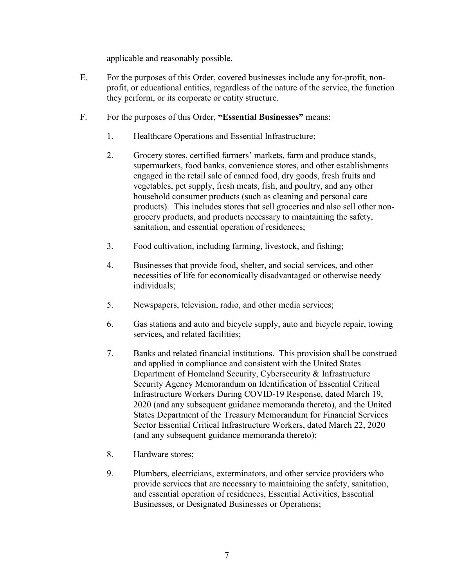applicable and reasonably possible.

- E. For the purposes of this Order, covered businesses include any for-profit, nonprofit, or educational entities, regardless of the nature of the service, the function they perform, or its corporate or entity structure.
- F. For the purposes of this Order, **"Essential Businesses"** means:
	- 1. Healthcare Operations and Essential Infrastructure;
	- 2. Grocery stores, certified farmers' markets, farm and produce stands, supermarkets, food banks, convenience stores, and other establishments engaged in the retail sale of canned food, dry goods, fresh fruits and vegetables, pet supply, fresh meats, fish, and poultry, and any other household consumer products (such as cleaning and personal care products). This includes stores that sell groceries and also sell other nongrocery products, and products necessary to maintaining the safety, sanitation, and essential operation of residences;
	- 3. Food cultivation, including farming, livestock, and fishing;
	- 4. Businesses that provide food, shelter, and social services, and other necessities of life for economically disadvantaged or otherwise needy individuals;
	- 5. Newspapers, television, radio, and other media services;
	- 6. Gas stations and auto and bicycle supply, auto and bicycle repair, towing services, and related facilities;
	- 7. Banks and related financial institutions. This provision shall be construed and applied in compliance and consistent with the United States Department of Homeland Security, Cybersecurity & Infrastructure Security Agency Memorandum on Identification of Essential Critical Infrastructure Workers During COVID-19 Response, dated March 19, 2020 (and any subsequent guidance memoranda thereto), and the United States Department of the Treasury Memorandum for Financial Services Sector Essential Critical Infrastructure Workers, dated March 22, 2020 (and any subsequent guidance memoranda thereto);
	- 8. Hardware stores;
	- 9. Plumbers, electricians, exterminators, and other service providers who provide services that are necessary to maintaining the safety, sanitation, and essential operation of residences, Essential Activities, Essential Businesses, or Designated Businesses or Operations;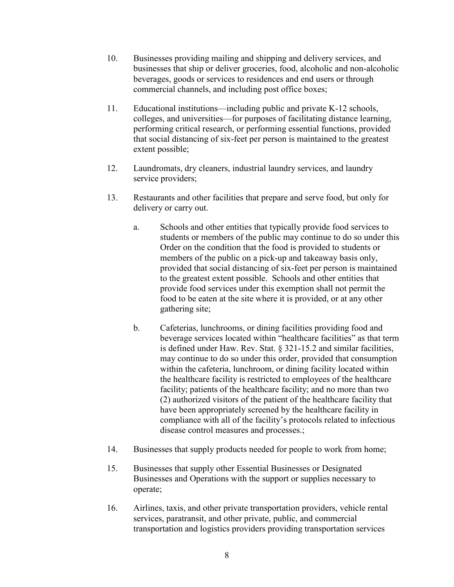- 10. Businesses providing mailing and shipping and delivery services, and businesses that ship or deliver groceries, food, alcoholic and non-alcoholic beverages, goods or services to residences and end users or through commercial channels, and including post office boxes;
- 11. Educational institutions—including public and private K-12 schools, colleges, and universities—for purposes of facilitating distance learning, performing critical research, or performing essential functions, provided that social distancing of six-feet per person is maintained to the greatest extent possible;
- 12. Laundromats, dry cleaners, industrial laundry services, and laundry service providers;
- 13. Restaurants and other facilities that prepare and serve food, but only for delivery or carry out.
	- a. Schools and other entities that typically provide food services to students or members of the public may continue to do so under this Order on the condition that the food is provided to students or members of the public on a pick-up and takeaway basis only, provided that social distancing of six-feet per person is maintained to the greatest extent possible. Schools and other entities that provide food services under this exemption shall not permit the food to be eaten at the site where it is provided, or at any other gathering site;
	- b. Cafeterias, lunchrooms, or dining facilities providing food and beverage services located within "healthcare facilities" as that term is defined under Haw. Rev. Stat. § 321-15.2 and similar facilities, may continue to do so under this order, provided that consumption within the cafeteria, lunchroom, or dining facility located within the healthcare facility is restricted to employees of the healthcare facility; patients of the healthcare facility; and no more than two (2) authorized visitors of the patient of the healthcare facility that have been appropriately screened by the healthcare facility in compliance with all of the facility's protocols related to infectious disease control measures and processes.;
- 14. Businesses that supply products needed for people to work from home;
- 15. Businesses that supply other Essential Businesses or Designated Businesses and Operations with the support or supplies necessary to operate;
- 16. Airlines, taxis, and other private transportation providers, vehicle rental services, paratransit, and other private, public, and commercial transportation and logistics providers providing transportation services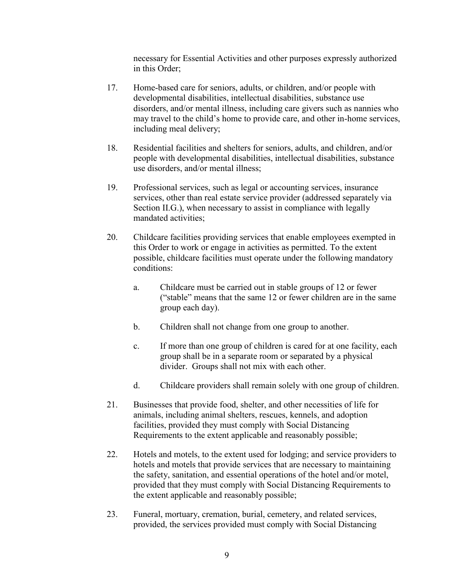necessary for Essential Activities and other purposes expressly authorized in this Order;

- 17. Home-based care for seniors, adults, or children, and/or people with developmental disabilities, intellectual disabilities, substance use disorders, and/or mental illness, including care givers such as nannies who may travel to the child's home to provide care, and other in-home services, including meal delivery;
- 18. Residential facilities and shelters for seniors, adults, and children, and/or people with developmental disabilities, intellectual disabilities, substance use disorders, and/or mental illness;
- 19. Professional services, such as legal or accounting services, insurance services, other than real estate service provider (addressed separately via Section II.G.), when necessary to assist in compliance with legally mandated activities;
- 20. Childcare facilities providing services that enable employees exempted in this Order to work or engage in activities as permitted. To the extent possible, childcare facilities must operate under the following mandatory conditions:
	- a. Childcare must be carried out in stable groups of 12 or fewer ("stable" means that the same 12 or fewer children are in the same group each day).
	- b. Children shall not change from one group to another.
	- c. If more than one group of children is cared for at one facility, each group shall be in a separate room or separated by a physical divider. Groups shall not mix with each other.
	- d. Childcare providers shall remain solely with one group of children.
- 21. Businesses that provide food, shelter, and other necessities of life for animals, including animal shelters, rescues, kennels, and adoption facilities, provided they must comply with Social Distancing Requirements to the extent applicable and reasonably possible;
- 22. Hotels and motels, to the extent used for lodging; and service providers to hotels and motels that provide services that are necessary to maintaining the safety, sanitation, and essential operations of the hotel and/or motel, provided that they must comply with Social Distancing Requirements to the extent applicable and reasonably possible;
- 23. Funeral, mortuary, cremation, burial, cemetery, and related services, provided, the services provided must comply with Social Distancing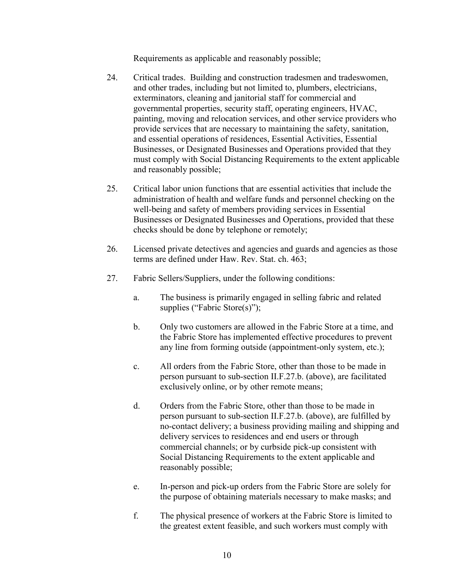Requirements as applicable and reasonably possible;

- 24. Critical trades. Building and construction tradesmen and tradeswomen, and other trades, including but not limited to, plumbers, electricians, exterminators, cleaning and janitorial staff for commercial and governmental properties, security staff, operating engineers, HVAC, painting, moving and relocation services, and other service providers who provide services that are necessary to maintaining the safety, sanitation, and essential operations of residences, Essential Activities, Essential Businesses, or Designated Businesses and Operations provided that they must comply with Social Distancing Requirements to the extent applicable and reasonably possible;
- 25. Critical labor union functions that are essential activities that include the administration of health and welfare funds and personnel checking on the well-being and safety of members providing services in Essential Businesses or Designated Businesses and Operations, provided that these checks should be done by telephone or remotely;
- 26. Licensed private detectives and agencies and guards and agencies as those terms are defined under Haw. Rev. Stat. ch. 463;
- 27. Fabric Sellers/Suppliers, under the following conditions:
	- a. The business is primarily engaged in selling fabric and related supplies ("Fabric Store(s)");
	- b. Only two customers are allowed in the Fabric Store at a time, and the Fabric Store has implemented effective procedures to prevent any line from forming outside (appointment-only system, etc.);
	- c. All orders from the Fabric Store, other than those to be made in person pursuant to sub-section II.F.27.b. (above), are facilitated exclusively online, or by other remote means;
	- d. Orders from the Fabric Store, other than those to be made in person pursuant to sub-section II.F.27.b. (above), are fulfilled by no-contact delivery; a business providing mailing and shipping and delivery services to residences and end users or through commercial channels; or by curbside pick-up consistent with Social Distancing Requirements to the extent applicable and reasonably possible;
	- e. In-person and pick-up orders from the Fabric Store are solely for the purpose of obtaining materials necessary to make masks; and
	- f. The physical presence of workers at the Fabric Store is limited to the greatest extent feasible, and such workers must comply with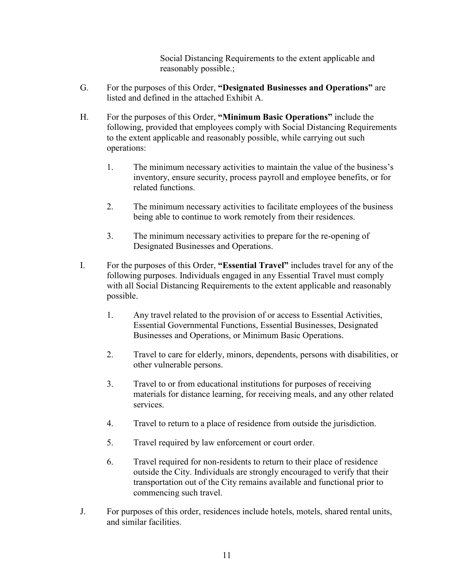Social Distancing Requirements to the extent applicable and reasonably possible.;

- G. For the purposes of this Order, **"Designated Businesses and Operations"** are listed and defined in the attached Exhibit A.
- H. For the purposes of this Order, **"Minimum Basic Operations"** include the following, provided that employees comply with Social Distancing Requirements to the extent applicable and reasonably possible, while carrying out such operations:
	- 1. The minimum necessary activities to maintain the value of the business's inventory, ensure security, process payroll and employee benefits, or for related functions.
	- 2. The minimum necessary activities to facilitate employees of the business being able to continue to work remotely from their residences.
	- 3. The minimum necessary activities to prepare for the re-opening of Designated Businesses and Operations.
- I. For the purposes of this Order, **"Essential Travel"** includes travel for any of the following purposes. Individuals engaged in any Essential Travel must comply with all Social Distancing Requirements to the extent applicable and reasonably possible.
	- 1. Any travel related to the provision of or access to Essential Activities, Essential Governmental Functions, Essential Businesses, Designated Businesses and Operations, or Minimum Basic Operations.
	- 2. Travel to care for elderly, minors, dependents, persons with disabilities, or other vulnerable persons.
	- 3. Travel to or from educational institutions for purposes of receiving materials for distance learning, for receiving meals, and any other related services.
	- 4. Travel to return to a place of residence from outside the jurisdiction.
	- 5. Travel required by law enforcement or court order.
	- 6. Travel required for non-residents to return to their place of residence outside the City. Individuals are strongly encouraged to verify that their transportation out of the City remains available and functional prior to commencing such travel.
- J. For purposes of this order, residences include hotels, motels, shared rental units, and similar facilities.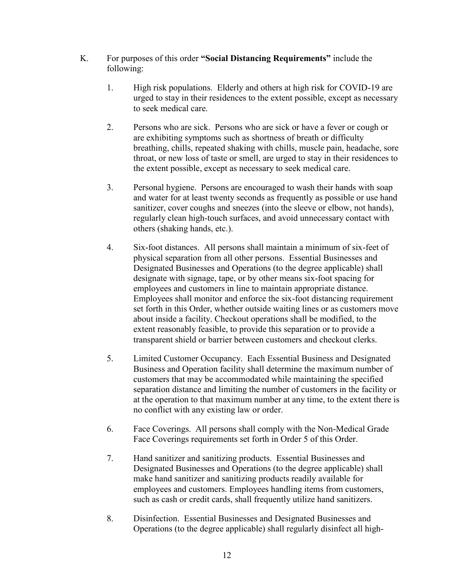- K. For purposes of this order **"Social Distancing Requirements"** include the following:
	- 1. High risk populations. Elderly and others at high risk for COVID-19 are urged to stay in their residences to the extent possible, except as necessary to seek medical care.
	- 2. Persons who are sick. Persons who are sick or have a fever or cough or are exhibiting symptoms such as shortness of breath or difficulty breathing, chills, repeated shaking with chills, muscle pain, headache, sore throat, or new loss of taste or smell, are urged to stay in their residences to the extent possible, except as necessary to seek medical care.
	- 3. Personal hygiene. Persons are encouraged to wash their hands with soap and water for at least twenty seconds as frequently as possible or use hand sanitizer, cover coughs and sneezes (into the sleeve or elbow, not hands), regularly clean high-touch surfaces, and avoid unnecessary contact with others (shaking hands, etc.).
	- 4. Six-foot distances. All persons shall maintain a minimum of six-feet of physical separation from all other persons. Essential Businesses and Designated Businesses and Operations (to the degree applicable) shall designate with signage, tape, or by other means six-foot spacing for employees and customers in line to maintain appropriate distance. Employees shall monitor and enforce the six-foot distancing requirement set forth in this Order, whether outside waiting lines or as customers move about inside a facility. Checkout operations shall be modified, to the extent reasonably feasible, to provide this separation or to provide a transparent shield or barrier between customers and checkout clerks.
	- 5. Limited Customer Occupancy. Each Essential Business and Designated Business and Operation facility shall determine the maximum number of customers that may be accommodated while maintaining the specified separation distance and limiting the number of customers in the facility or at the operation to that maximum number at any time, to the extent there is no conflict with any existing law or order.
	- 6. Face Coverings. All persons shall comply with the Non-Medical Grade Face Coverings requirements set forth in Order 5 of this Order.
	- 7. Hand sanitizer and sanitizing products. Essential Businesses and Designated Businesses and Operations (to the degree applicable) shall make hand sanitizer and sanitizing products readily available for employees and customers. Employees handling items from customers, such as cash or credit cards, shall frequently utilize hand sanitizers.
	- 8. Disinfection. Essential Businesses and Designated Businesses and Operations (to the degree applicable) shall regularly disinfect all high-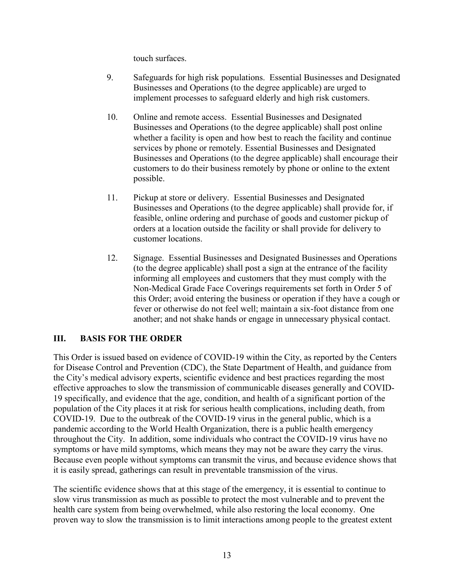touch surfaces.

- 9. Safeguards for high risk populations. Essential Businesses and Designated Businesses and Operations (to the degree applicable) are urged to implement processes to safeguard elderly and high risk customers.
- 10. Online and remote access. Essential Businesses and Designated Businesses and Operations (to the degree applicable) shall post online whether a facility is open and how best to reach the facility and continue services by phone or remotely. Essential Businesses and Designated Businesses and Operations (to the degree applicable) shall encourage their customers to do their business remotely by phone or online to the extent possible.
- 11. Pickup at store or delivery. Essential Businesses and Designated Businesses and Operations (to the degree applicable) shall provide for, if feasible, online ordering and purchase of goods and customer pickup of orders at a location outside the facility or shall provide for delivery to customer locations.
- 12. Signage. Essential Businesses and Designated Businesses and Operations (to the degree applicable) shall post a sign at the entrance of the facility informing all employees and customers that they must comply with the Non-Medical Grade Face Coverings requirements set forth in Order 5 of this Order; avoid entering the business or operation if they have a cough or fever or otherwise do not feel well; maintain a six-foot distance from one another; and not shake hands or engage in unnecessary physical contact.

### **III. BASIS FOR THE ORDER**

This Order is issued based on evidence of COVID-19 within the City, as reported by the Centers for Disease Control and Prevention (CDC), the State Department of Health, and guidance from the City's medical advisory experts, scientific evidence and best practices regarding the most effective approaches to slow the transmission of communicable diseases generally and COVID-19 specifically, and evidence that the age, condition, and health of a significant portion of the population of the City places it at risk for serious health complications, including death, from COVID-19. Due to the outbreak of the COVID-19 virus in the general public, which is a pandemic according to the World Health Organization, there is a public health emergency throughout the City. In addition, some individuals who contract the COVID-19 virus have no symptoms or have mild symptoms, which means they may not be aware they carry the virus. Because even people without symptoms can transmit the virus, and because evidence shows that it is easily spread, gatherings can result in preventable transmission of the virus.

The scientific evidence shows that at this stage of the emergency, it is essential to continue to slow virus transmission as much as possible to protect the most vulnerable and to prevent the health care system from being overwhelmed, while also restoring the local economy. One proven way to slow the transmission is to limit interactions among people to the greatest extent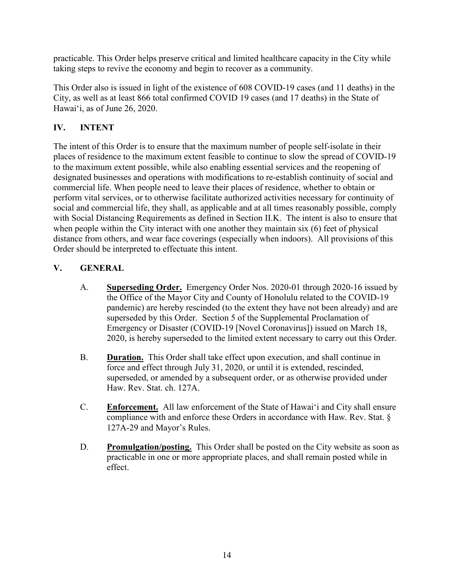practicable. This Order helps preserve critical and limited healthcare capacity in the City while taking steps to revive the economy and begin to recover as a community.

This Order also is issued in light of the existence of 608 COVID-19 cases (and 11 deaths) in the City, as well as at least 866 total confirmed COVID 19 cases (and 17 deaths) in the State of Hawaiʻi, as of June 26, 2020.

# **IV. INTENT**

The intent of this Order is to ensure that the maximum number of people self-isolate in their places of residence to the maximum extent feasible to continue to slow the spread of COVID-19 to the maximum extent possible, while also enabling essential services and the reopening of designated businesses and operations with modifications to re-establish continuity of social and commercial life. When people need to leave their places of residence, whether to obtain or perform vital services, or to otherwise facilitate authorized activities necessary for continuity of social and commercial life, they shall, as applicable and at all times reasonably possible, comply with Social Distancing Requirements as defined in Section II.K. The intent is also to ensure that when people within the City interact with one another they maintain six (6) feet of physical distance from others, and wear face coverings (especially when indoors). All provisions of this Order should be interpreted to effectuate this intent.

# **V. GENERAL**

- A. **Superseding Order.** Emergency Order Nos. 2020-01 through 2020-16 issued by the Office of the Mayor City and County of Honolulu related to the COVID-19 pandemic) are hereby rescinded (to the extent they have not been already) and are superseded by this Order. Section 5 of the Supplemental Proclamation of Emergency or Disaster (COVID-19 [Novel Coronavirus]) issued on March 18, 2020, is hereby superseded to the limited extent necessary to carry out this Order.
- B. **Duration.** This Order shall take effect upon execution, and shall continue in force and effect through July 31, 2020, or until it is extended, rescinded, superseded, or amended by a subsequent order, or as otherwise provided under Haw. Rev. Stat. ch. 127A.
- C. **Enforcement.** All law enforcement of the State of Hawaiʻi and City shall ensure compliance with and enforce these Orders in accordance with Haw. Rev. Stat. § 127A-29 and Mayor's Rules.
- D. **Promulgation/posting.** This Order shall be posted on the City website as soon as practicable in one or more appropriate places, and shall remain posted while in effect.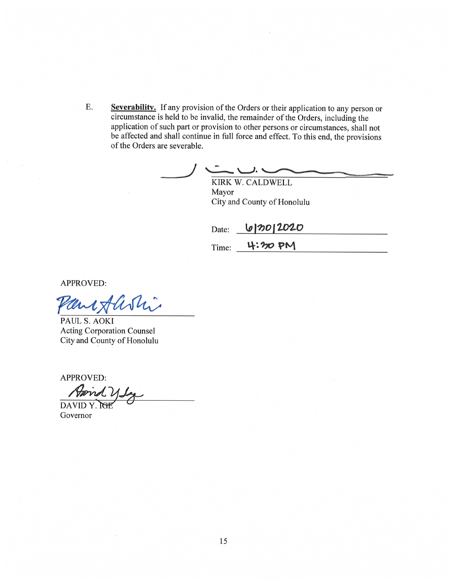E. Severability. If any provision of the Orders or their application to any person or circumstance is held to be invalid, the remainder of the Orders, including the application of such part or provision to other persons or circumstances, shall not be affected and shall continue in full force and effect. To this end, the provisions of the Orders are severable.

 $\overline{\phantom{a}}$ KIRK W. CALDWELL Mayor City and County of Honolulu

6/2012020 Date:  $Time:$  4:30 PM

APPROVED:

aniflishi

PAUL S. AOKI Acting Corporation Counsel City and County of Honolulu

APPROVED:<br>Appind y Sy DAVID Y.

Governor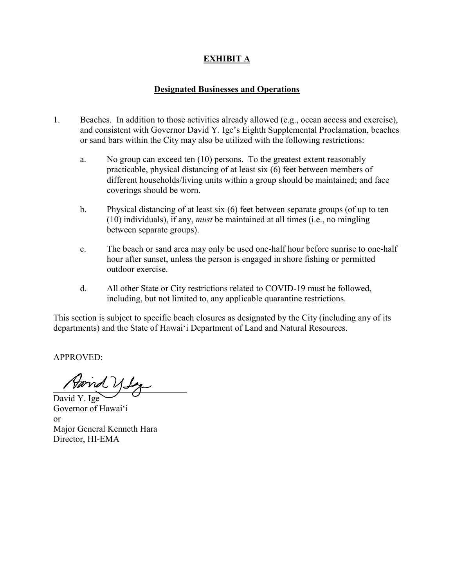### **EXHIBIT A**

#### **Designated Businesses and Operations**

- 1. Beaches. In addition to those activities already allowed (e.g., ocean access and exercise), and consistent with Governor David Y. Ige's Eighth Supplemental Proclamation, beaches or sand bars within the City may also be utilized with the following restrictions:
	- a. No group can exceed ten (10) persons. To the greatest extent reasonably practicable, physical distancing of at least six (6) feet between members of different households/living units within a group should be maintained; and face coverings should be worn.
	- b. Physical distancing of at least six (6) feet between separate groups (of up to ten (10) individuals), if any, *must* be maintained at all times (i.e., no mingling between separate groups).
	- c. The beach or sand area may only be used one-half hour before sunrise to one-half hour after sunset, unless the person is engaged in shore fishing or permitted outdoor exercise.
	- d. All other State or City restrictions related to COVID-19 must be followed, including, but not limited to, any applicable quarantine restrictions.

This section is subject to specific beach closures as designated by the City (including any of its departments) and the State of Hawai'i Department of Land and Natural Resources.

APPROVED:

 $\overline{a}$ 

Forred y Seg

David Y. Ige Governor of Hawai'i or Major General Kenneth Hara Director, HI-EMA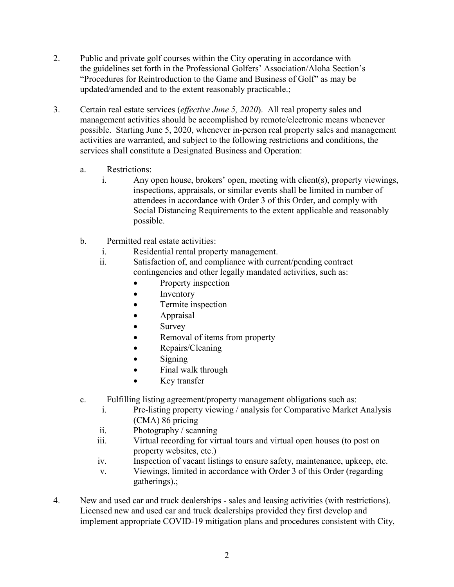- 2. Public and private golf courses within the City operating in accordance with the guidelines set forth in the Professional Golfers' Association/Aloha Section's "Procedures for Reintroduction to the Game and Business of Golf" as may be updated/amended and to the extent reasonably practicable.;
- 3. Certain real estate services (*effective June 5, 2020*). All real property sales and management activities should be accomplished by remote/electronic means whenever possible. Starting June 5, 2020, whenever in-person real property sales and management activities are warranted, and subject to the following restrictions and conditions, the services shall constitute a Designated Business and Operation:
	- a. Restrictions:
		- i. Any open house, brokers' open, meeting with client(s), property viewings, inspections, appraisals, or similar events shall be limited in number of attendees in accordance with Order 3 of this Order, and comply with Social Distancing Requirements to the extent applicable and reasonably possible.
	- b. Permitted real estate activities:
		- i. Residential rental property management.
		- ii. Satisfaction of, and compliance with current/pending contract contingencies and other legally mandated activities, such as:
			- Property inspection
			- Inventory
			- Termite inspection
			- Appraisal
			- Survey
			- Removal of items from property
			- Repairs/Cleaning
			- $\bullet$  Signing
			- Final walk through
			- Key transfer
	- c. Fulfilling listing agreement/property management obligations such as:
		- i. Pre-listing property viewing / analysis for Comparative Market Analysis (CMA) 86 pricing
		- ii. Photography / scanning
		- iii. Virtual recording for virtual tours and virtual open houses (to post on property websites, etc.)
		- iv. Inspection of vacant listings to ensure safety, maintenance, upkeep, etc.
		- v. Viewings, limited in accordance with Order 3 of this Order (regarding gatherings).;
- 4. New and used car and truck dealerships sales and leasing activities (with restrictions). Licensed new and used car and truck dealerships provided they first develop and implement appropriate COVID-19 mitigation plans and procedures consistent with City,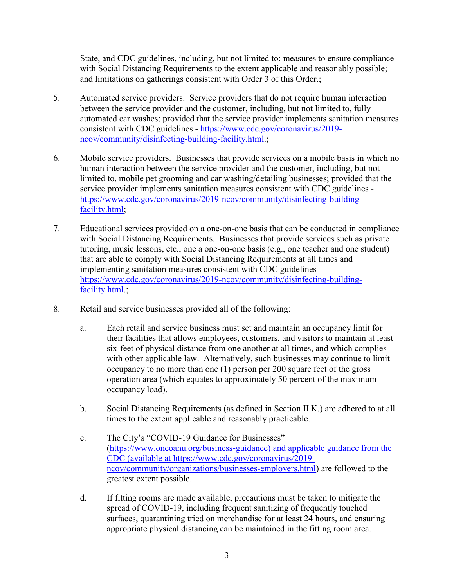State, and CDC guidelines, including, but not limited to: measures to ensure compliance with Social Distancing Requirements to the extent applicable and reasonably possible; and limitations on gatherings consistent with Order 3 of this Order.;

- 5. Automated service providers. Service providers that do not require human interaction between the service provider and the customer, including, but not limited to, fully automated car washes; provided that the service provider implements sanitation measures consistent with CDC guidelines - [https://www.cdc.gov/coronavirus/2019](https://www.cdc.gov/coronavirus/2019-ncov/community/disinfecting-building-facility.html) [ncov/community/disinfecting-building-facility.html.](https://www.cdc.gov/coronavirus/2019-ncov/community/disinfecting-building-facility.html);
- 6. Mobile service providers. Businesses that provide services on a mobile basis in which no human interaction between the service provider and the customer, including, but not limited to, mobile pet grooming and car washing/detailing businesses; provided that the service provider implements sanitation measures consistent with CDC guidelines [https://www.cdc.gov/coronavirus/2019-ncov/community/disinfecting-building](https://www.cdc.gov/coronavirus/2019-ncov/community/disinfecting-building-facility.html)[facility.html;](https://www.cdc.gov/coronavirus/2019-ncov/community/disinfecting-building-facility.html)
- 7. Educational services provided on a one-on-one basis that can be conducted in compliance with Social Distancing Requirements. Businesses that provide services such as private tutoring, music lessons, etc., one a one-on-one basis (e.g., one teacher and one student) that are able to comply with Social Distancing Requirements at all times and implementing sanitation measures consistent with CDC guidelines [https://www.cdc.gov/coronavirus/2019-ncov/community/disinfecting-building](https://www.cdc.gov/coronavirus/2019-ncov/community/disinfecting-building-facility.html)[facility.html.](https://www.cdc.gov/coronavirus/2019-ncov/community/disinfecting-building-facility.html);
- 8. Retail and service businesses provided all of the following:
	- a. Each retail and service business must set and maintain an occupancy limit for their facilities that allows employees, customers, and visitors to maintain at least six-feet of physical distance from one another at all times, and which complies with other applicable law. Alternatively, such businesses may continue to limit occupancy to no more than one (1) person per 200 square feet of the gross operation area (which equates to approximately 50 percent of the maximum occupancy load).
	- b. Social Distancing Requirements (as defined in Section II.K.) are adhered to at all times to the extent applicable and reasonably practicable.
	- c. The City's "COVID-19 Guidance for Businesses" [\(https://www.oneoahu.org/business-guidance\)](https://www.oneoahu.org/business-guidance) and applicable guidance from the CDC (available at [https://www.cdc.gov/coronavirus/2019](https://www.cdc.gov/coronavirus/2019-ncov/community/organizations/businesses-employers.html) [ncov/community/organizations/businesses-employers.html\)](https://www.cdc.gov/coronavirus/2019-ncov/community/organizations/businesses-employers.html) are followed to the greatest extent possible.
	- d. If fitting rooms are made available, precautions must be taken to mitigate the spread of COVID-19, including frequent sanitizing of frequently touched surfaces, quarantining tried on merchandise for at least 24 hours, and ensuring appropriate physical distancing can be maintained in the fitting room area.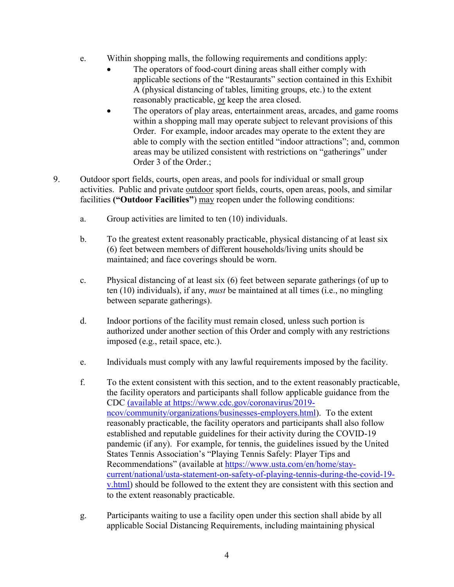- e. Within shopping malls, the following requirements and conditions apply:
	- The operators of food-court dining areas shall either comply with applicable sections of the "Restaurants" section contained in this Exhibit A (physical distancing of tables, limiting groups, etc.) to the extent reasonably practicable, or keep the area closed.
	- The operators of play areas, entertainment areas, arcades, and game rooms within a shopping mall may operate subject to relevant provisions of this Order. For example, indoor arcades may operate to the extent they are able to comply with the section entitled "indoor attractions"; and, common areas may be utilized consistent with restrictions on "gatherings" under Order 3 of the Order.;
- 9. Outdoor sport fields, courts, open areas, and pools for individual or small group activities.Public and private outdoor sport fields, courts, open areas, pools, and similar facilities **("Outdoor Facilities"**) may reopen under the following conditions:
	- a. Group activities are limited to ten (10) individuals.
	- b. To the greatest extent reasonably practicable, physical distancing of at least six (6) feet between members of different households/living units should be maintained; and face coverings should be worn.
	- c. Physical distancing of at least six (6) feet between separate gatherings (of up to ten (10) individuals), if any, *must* be maintained at all times (i.e., no mingling between separate gatherings).
	- d. Indoor portions of the facility must remain closed, unless such portion is authorized under another section of this Order and comply with any restrictions imposed (e.g., retail space, etc.).
	- e. Individuals must comply with any lawful requirements imposed by the facility.
	- f. To the extent consistent with this section, and to the extent reasonably practicable, the facility operators and participants shall follow applicable guidance from the CDC (available at [https://www.cdc.gov/coronavirus/2019](https://www.cdc.gov/coronavirus/2019-ncov/community/organizations/businesses-employers.html) [ncov/community/organizations/businesses-employers.html\)](https://www.cdc.gov/coronavirus/2019-ncov/community/organizations/businesses-employers.html). To the extent reasonably practicable, the facility operators and participants shall also follow established and reputable guidelines for their activity during the COVID-19 pandemic (if any). For example, for tennis, the guidelines issued by the United States Tennis Association's "Playing Tennis Safely: Player Tips and Recommendations" (available at [https://www.usta.com/en/home/stay](https://www.usta.com/en/home/stay-current/national/usta-statement-on-safety-of-playing-tennis-during-the-covid-19-v.html)[current/national/usta-statement-on-safety-of-playing-tennis-during-the-covid-19](https://www.usta.com/en/home/stay-current/national/usta-statement-on-safety-of-playing-tennis-during-the-covid-19-v.html) [v.html\)](https://www.usta.com/en/home/stay-current/national/usta-statement-on-safety-of-playing-tennis-during-the-covid-19-v.html) should be followed to the extent they are consistent with this section and to the extent reasonably practicable.
	- g. Participants waiting to use a facility open under this section shall abide by all applicable Social Distancing Requirements, including maintaining physical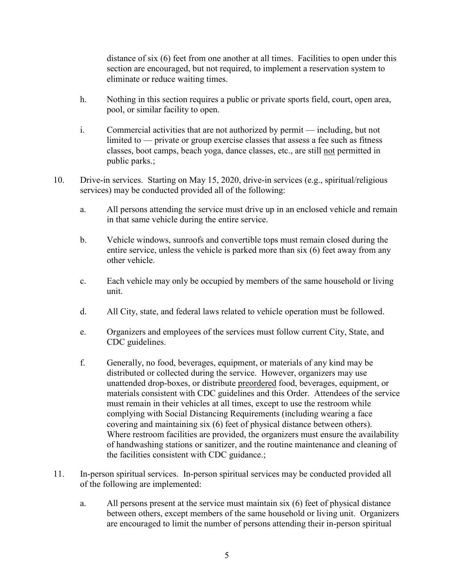distance of six (6) feet from one another at all times. Facilities to open under this section are encouraged, but not required, to implement a reservation system to eliminate or reduce waiting times.

- h. Nothing in this section requires a public or private sports field, court, open area, pool, or similar facility to open.
- i. Commercial activities that are not authorized by permit including, but not limited to — private or group exercise classes that assess a fee such as fitness classes, boot camps, beach yoga, dance classes, etc., are still not permitted in public parks.;
- 10. Drive-in services.Starting on May 15, 2020, drive-in services (e.g., spiritual/religious services) may be conducted provided all of the following:
	- a. All persons attending the service must drive up in an enclosed vehicle and remain in that same vehicle during the entire service.
	- b. Vehicle windows, sunroofs and convertible tops must remain closed during the entire service, unless the vehicle is parked more than six (6) feet away from any other vehicle.
	- c. Each vehicle may only be occupied by members of the same household or living unit.
	- d. All City, state, and federal laws related to vehicle operation must be followed.
	- e. Organizers and employees of the services must follow current City, State, and CDC guidelines.
	- f. Generally, no food, beverages, equipment, or materials of any kind may be distributed or collected during the service. However, organizers may use unattended drop-boxes, or distribute preordered food, beverages, equipment, or materials consistent with CDC guidelines and this Order. Attendees of the service must remain in their vehicles at all times, except to use the restroom while complying with Social Distancing Requirements (including wearing a face covering and maintaining six (6) feet of physical distance between others). Where restroom facilities are provided, the organizers must ensure the availability of handwashing stations or sanitizer, and the routine maintenance and cleaning of the facilities consistent with CDC guidance.;
- 11. In-person spiritual services. In-person spiritual services may be conducted provided all of the following are implemented:
	- a. All persons present at the service must maintain six (6) feet of physical distance between others, except members of the same household or living unit. Organizers are encouraged to limit the number of persons attending their in-person spiritual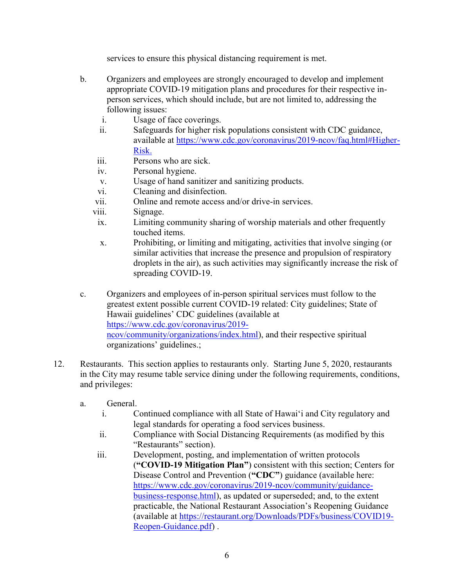services to ensure this physical distancing requirement is met.

- b. Organizers and employees are strongly encouraged to develop and implement appropriate COVID-19 mitigation plans and procedures for their respective inperson services, which should include, but are not limited to, addressing the following issues:
	- i. Usage of face coverings.
	- ii. Safeguards for higher risk populations consistent with CDC guidance, available at [https://www.cdc.gov/coronavirus/2019-ncov/faq.html#Higher-](https://www.cdc.gov/coronavirus/2019-ncov/faq.html#Higher-Risk)[Risk.](https://www.cdc.gov/coronavirus/2019-ncov/faq.html#Higher-Risk)
	- iii. Persons who are sick.
	- iv. Personal hygiene.
	- v. Usage of hand sanitizer and sanitizing products.
	- vi. Cleaning and disinfection.
	- vii. Online and remote access and/or drive-in services.
	- viii. Signage.
	- ix. Limiting community sharing of worship materials and other frequently touched items.
	- x. Prohibiting, or limiting and mitigating, activities that involve singing (or similar activities that increase the presence and propulsion of respiratory droplets in the air), as such activities may significantly increase the risk of spreading COVID-19.
- c. Organizers and employees of in-person spiritual services must follow to the greatest extent possible current COVID-19 related: City guidelines; State of Hawaii guidelines' CDC guidelines (available at [https://www.cdc.gov/coronavirus/2019](https://www.cdc.gov/coronavirus/2019-ncov/community/organizations/index.html) [ncov/community/organizations/index.html\)](https://www.cdc.gov/coronavirus/2019-ncov/community/organizations/index.html), and their respective spiritual organizations' guidelines.;
- 12. Restaurants. This section applies to restaurants only. Starting June 5, 2020, restaurants in the City may resume table service dining under the following requirements, conditions, and privileges:
	- a. General.
		- i. Continued compliance with all State of Hawai'i and City regulatory and legal standards for operating a food services business.
		- ii. Compliance with Social Distancing Requirements (as modified by this "Restaurants" section).
		- iii. Development, posting, and implementation of written protocols (**"COVID-19 Mitigation Plan"**) consistent with this section; Centers for Disease Control and Prevention (**"CDC"**) guidance (available here: [https://www.cdc.gov/coronavirus/2019-ncov/community/guidance](https://www.cdc.gov/coronavirus/2019-ncov/community/guidance-business-response.html)[business-response.html\)](https://www.cdc.gov/coronavirus/2019-ncov/community/guidance-business-response.html), as updated or superseded; and, to the extent practicable, the National Restaurant Association's Reopening Guidance (available at [https://restaurant.org/Downloads/PDFs/business/COVID19-](https://restaurant.org/Downloads/PDFs/business/COVID19-Reopen-Guidance.pdf) [Reopen-Guidance.pdf\)](https://restaurant.org/Downloads/PDFs/business/COVID19-Reopen-Guidance.pdf) .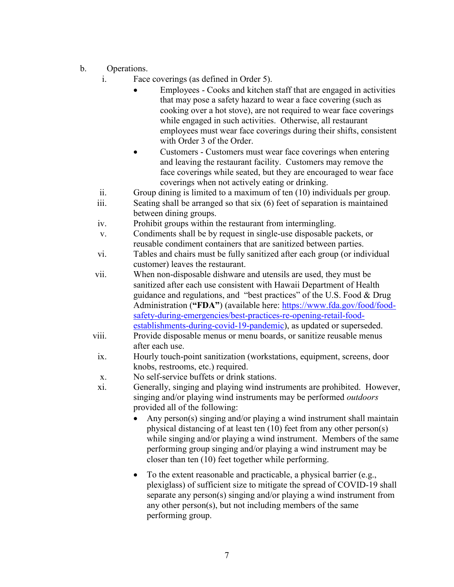- b. Operations.
	- i. Face coverings (as defined in Order 5).
		- Employees Cooks and kitchen staff that are engaged in activities that may pose a safety hazard to wear a face covering (such as cooking over a hot stove), are not required to wear face coverings while engaged in such activities. Otherwise, all restaurant employees must wear face coverings during their shifts, consistent with Order 3 of the Order.
		- Customers Customers must wear face coverings when entering and leaving the restaurant facility. Customers may remove the face coverings while seated, but they are encouraged to wear face coverings when not actively eating or drinking.
	- ii. Group dining is limited to a maximum of ten (10) individuals per group.
	- iii. Seating shall be arranged so that six (6) feet of separation is maintained between dining groups.
	- iv. Prohibit groups within the restaurant from intermingling.
	- v. Condiments shall be by request in single-use disposable packets, or reusable condiment containers that are sanitized between parties.
	- vi. Tables and chairs must be fully sanitized after each group (or individual customer) leaves the restaurant.
	- vii. When non-disposable dishware and utensils are used, they must be sanitized after each use consistent with Hawaii Department of Health guidance and regulations, and "best practices" of the U.S. Food & Drug Administration ("FDA") (available here: [https://www.fda.gov/food/food](https://www.fda.gov/food/food-safety-during-emergencies/best-practices-re-opening-retail-food-establishments-during-covid-19-pandemic)[safety-during-emergencies/best-practices-re-opening-retail-food](https://www.fda.gov/food/food-safety-during-emergencies/best-practices-re-opening-retail-food-establishments-during-covid-19-pandemic)[establishments-during-covid-19-pandemic\)](https://www.fda.gov/food/food-safety-during-emergencies/best-practices-re-opening-retail-food-establishments-during-covid-19-pandemic), as updated or superseded.
	- viii. Provide disposable menus or menu boards, or sanitize reusable menus after each use.
	- ix. Hourly touch-point sanitization (workstations, equipment, screens, door knobs, restrooms, etc.) required.
	- x. No self-service buffets or drink stations.
	- xi. Generally, singing and playing wind instruments are prohibited. However, singing and/or playing wind instruments may be performed *outdoors* provided all of the following:
		- Any person(s) singing and/or playing a wind instrument shall maintain physical distancing of at least ten (10) feet from any other person(s) while singing and/or playing a wind instrument. Members of the same performing group singing and/or playing a wind instrument may be closer than ten (10) feet together while performing.
		- To the extent reasonable and practicable, a physical barrier (e.g., plexiglass) of sufficient size to mitigate the spread of COVID-19 shall separate any person(s) singing and/or playing a wind instrument from any other person(s), but not including members of the same performing group.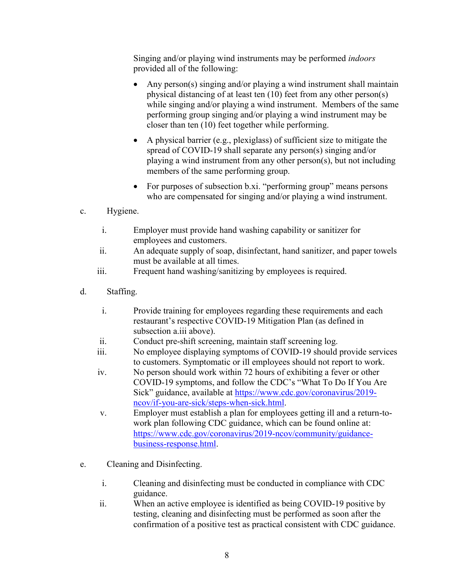Singing and/or playing wind instruments may be performed *indoors* provided all of the following:

- Any person(s) singing and/or playing a wind instrument shall maintain physical distancing of at least ten (10) feet from any other person(s) while singing and/or playing a wind instrument. Members of the same performing group singing and/or playing a wind instrument may be closer than ten (10) feet together while performing.
- A physical barrier (e.g., plexiglass) of sufficient size to mitigate the spread of COVID-19 shall separate any person(s) singing and/or playing a wind instrument from any other person(s), but not including members of the same performing group.
- For purposes of subsection b.xi. "performing group" means persons who are compensated for singing and/or playing a wind instrument.
- c. Hygiene.
	- i. Employer must provide hand washing capability or sanitizer for employees and customers.
	- ii. An adequate supply of soap, disinfectant, hand sanitizer, and paper towels must be available at all times.
	- iii. Frequent hand washing/sanitizing by employees is required.
- d. Staffing.
	- i. Provide training for employees regarding these requirements and each restaurant's respective COVID-19 Mitigation Plan (as defined in subsection a.iii above).
	- ii. Conduct pre-shift screening, maintain staff screening log.
	- iii. No employee displaying symptoms of COVID-19 should provide services to customers. Symptomatic or ill employees should not report to work.
	- iv. No person should work within 72 hours of exhibiting a fever or other COVID-19 symptoms, and follow the CDC's "What To Do If You Are Sick" guidance, available at [https://www.cdc.gov/coronavirus/2019](https://www.cdc.gov/coronavirus/2019-ncov/if-you-are-sick/steps-when-sick.html) [ncov/if-you-are-sick/steps-when-sick.html.](https://www.cdc.gov/coronavirus/2019-ncov/if-you-are-sick/steps-when-sick.html)
	- v. Employer must establish a plan for employees getting ill and a return-towork plan following CDC guidance, which can be found online at: [https://www.cdc.gov/coronavirus/2019-ncov/community/guidance](https://www.cdc.gov/coronavirus/2019-ncov/community/guidance-business-response.html)[business-response.html.](https://www.cdc.gov/coronavirus/2019-ncov/community/guidance-business-response.html)
- e. Cleaning and Disinfecting.
	- i. Cleaning and disinfecting must be conducted in compliance with CDC guidance.
	- ii. When an active employee is identified as being COVID-19 positive by testing, cleaning and disinfecting must be performed as soon after the confirmation of a positive test as practical consistent with CDC guidance.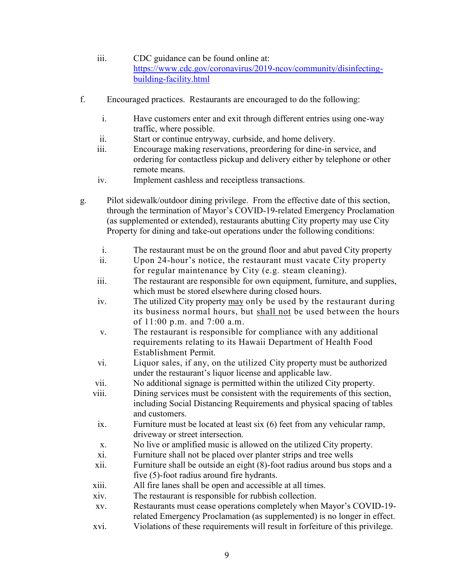- iii. CDC guidance can be found online at: [https://www.cdc.gov/coronavirus/2019-ncov/community/disinfecting](https://www.cdc.gov/coronavirus/2019-ncov/community/disinfecting-building-facility.html)[building-facility.html](https://www.cdc.gov/coronavirus/2019-ncov/community/disinfecting-building-facility.html)
- f. Encouraged practices. Restaurants are encouraged to do the following:
	- i. Have customers enter and exit through different entries using one-way traffic, where possible.
	- ii. Start or continue entryway, curbside, and home delivery.
	- iii. Encourage making reservations, preordering for dine-in service, and ordering for contactless pickup and delivery either by telephone or other remote means.
	- iv. Implement cashless and receiptless transactions.
- g. Pilot sidewalk/outdoor dining privilege. From the effective date of this section, through the termination of Mayor's COVID-19-related Emergency Proclamation (as supplemented or extended), restaurants abutting City property may use City Property for dining and take-out operations under the following conditions:
	- i. The restaurant must be on the ground floor and abut paved City property
	- ii. Upon 24-hour's notice, the restaurant must vacate City property for regular maintenance by City (e.g. steam cleaning).
	- iii. The restaurant are responsible for own equipment, furniture, and supplies, which must be stored elsewhere during closed hours.
	- iv. The utilized City property may only be used by the restaurant during its business normal hours, but shall not be used between the hours of 11:00 p.m. and 7:00 a.m.
	- v. The restaurant is responsible for compliance with any additional requirements relating to its Hawaii Department of Health Food Establishment Permit.
	- vi. Liquor sales, if any, on the utilized City property must be authorized under the restaurant's liquor license and applicable law.
	- vii. No additional signage is permitted within the utilized City property.
	- viii. Dining services must be consistent with the requirements of this section, including Social Distancing Requirements and physical spacing of tables and customers.
	- ix. Furniture must be located at least six (6) feet from any vehicular ramp, driveway or street intersection.
	- x. No live or amplified music is allowed on the utilized City property.
	- xi. Furniture shall not be placed over planter strips and tree wells
	- xii. Furniture shall be outside an eight (8)-foot radius around bus stops and a five (5)-foot radius around fire hydrants.
	- xiii. All fire lanes shall be open and accessible at all times.
	- xiv. The restaurant is responsible for rubbish collection.
	- xv. Restaurants must cease operations completely when Mayor's COVID-19 related Emergency Proclamation (as supplemented) is no longer in effect.
	- xvi. Violations of these requirements will result in forfeiture of this privilege.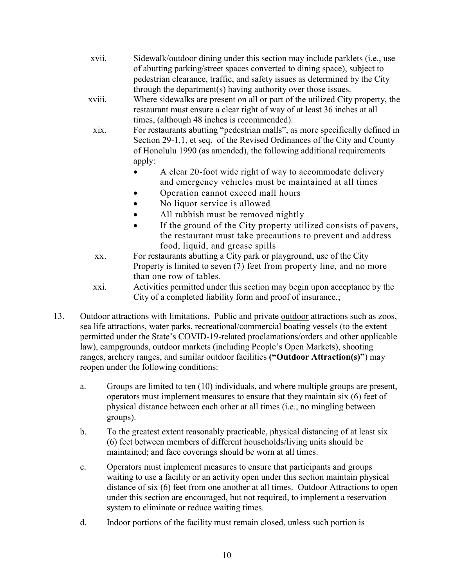- xvii. Sidewalk/outdoor dining under this section may include parklets (i.e., use of abutting parking/street spaces converted to dining space), subject to pedestrian clearance, traffic, and safety issues as determined by the City through the department(s) having authority over those issues.
- xviii. Where sidewalks are present on all or part of the utilized City property, the restaurant must ensure a clear right of way of at least 36 inches at all times, (although 48 inches is recommended).
- xix. For restaurants abutting "pedestrian malls", as more specifically defined in Section 29-1.1, et seq. of the Revised Ordinances of the City and County of Honolulu 1990 (as amended), the following additional requirements apply:
	- A clear 20-foot wide right of way to accommodate delivery and emergency vehicles must be maintained at all times
	- Operation cannot exceed mall hours
	- No liquor service is allowed
	- All rubbish must be removed nightly
	- If the ground of the City property utilized consists of pavers, the restaurant must take precautions to prevent and address food, liquid, and grease spills
- xx. For restaurants abutting a City park or playground, use of the City Property is limited to seven (7) feet from property line, and no more than one row of tables.
- xxi. Activities permitted under this section may begin upon acceptance by the City of a completed liability form and proof of insurance.;
- 13. Outdoor attractions with limitations. Public and private outdoor attractions such as zoos, sea life attractions, water parks, recreational/commercial boating vessels (to the extent permitted under the State's COVID-19-related proclamations/orders and other applicable law), campgrounds, outdoor markets (including People's Open Markets), shooting ranges, archery ranges, and similar outdoor facilities **("Outdoor Attraction(s)"**) may reopen under the following conditions:
	- a. Groups are limited to ten (10) individuals, and where multiple groups are present, operators must implement measures to ensure that they maintain six (6) feet of physical distance between each other at all times (i.e., no mingling between groups).
	- b. To the greatest extent reasonably practicable, physical distancing of at least six (6) feet between members of different households/living units should be maintained; and face coverings should be worn at all times.
	- c. Operators must implement measures to ensure that participants and groups waiting to use a facility or an activity open under this section maintain physical distance of six (6) feet from one another at all times. Outdoor Attractions to open under this section are encouraged, but not required, to implement a reservation system to eliminate or reduce waiting times.
	- d. Indoor portions of the facility must remain closed, unless such portion is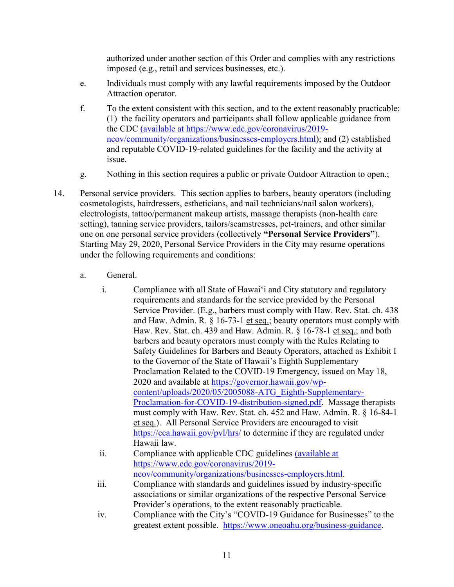authorized under another section of this Order and complies with any restrictions imposed (e.g., retail and services businesses, etc.).

- e. Individuals must comply with any lawful requirements imposed by the Outdoor Attraction operator.
- f. To the extent consistent with this section, and to the extent reasonably practicable: (1) the facility operators and participants shall follow applicable guidance from the CDC (available at [https://www.cdc.gov/coronavirus/2019](https://www.cdc.gov/coronavirus/2019-ncov/community/organizations/businesses-employers.html) [ncov/community/organizations/businesses-employers.html\)](https://www.cdc.gov/coronavirus/2019-ncov/community/organizations/businesses-employers.html); and (2) established and reputable COVID-19-related guidelines for the facility and the activity at issue.
- g. Nothing in this section requires a public or private Outdoor Attraction to open.;
- 14. Personal service providers. This section applies to barbers, beauty operators (including cosmetologists, hairdressers, estheticians, and nail technicians/nail salon workers), electrologists, tattoo/permanent makeup artists, massage therapists (non-health care setting), tanning service providers, tailors/seamstresses, pet-trainers, and other similar one on one personal service providers (collectively **"Personal Service Providers"**). Starting May 29, 2020, Personal Service Providers in the City may resume operations under the following requirements and conditions:
	- a. General.
		- i. Compliance with all State of Hawai'i and City statutory and regulatory requirements and standards for the service provided by the Personal Service Provider. (E.g., barbers must comply with Haw. Rev. Stat. ch. 438 and Haw. Admin. R. § 16-73-1 et seq.; beauty operators must comply with Haw. Rev. Stat. ch. 439 and Haw. Admin. R. § 16-78-1 et seq.; and both barbers and beauty operators must comply with the Rules Relating to Safety Guidelines for Barbers and Beauty Operators, attached as Exhibit I to the Governor of the State of Hawaii's Eighth Supplementary Proclamation Related to the COVID-19 Emergency, issued on May 18, 2020 and available at [https://governor.hawaii.gov/wp](https://governor.hawaii.gov/wp-content/uploads/2020/05/2005088-ATG_Eighth-Supplementary-Proclamation-for-COVID-19-distribution-signed.pdf)[content/uploads/2020/05/2005088-ATG\\_Eighth-Supplementary-](https://governor.hawaii.gov/wp-content/uploads/2020/05/2005088-ATG_Eighth-Supplementary-Proclamation-for-COVID-19-distribution-signed.pdf)[Proclamation-for-COVID-19-distribution-signed.pdf.](https://governor.hawaii.gov/wp-content/uploads/2020/05/2005088-ATG_Eighth-Supplementary-Proclamation-for-COVID-19-distribution-signed.pdf) Massage therapists must comply with Haw. Rev. Stat. ch. 452 and Haw. Admin. R. § 16-84-1 et seq.). All Personal Service Providers are encouraged to visit <https://cca.hawaii.gov/pvl/hrs/> to determine if they are regulated under Hawaii law.
		- ii. Compliance with applicable CDC guidelines (available at [https://www.cdc.gov/coronavirus/2019](https://www.cdc.gov/coronavirus/2019-ncov/community/organizations/businesses-employers.html) [ncov/community/organizations/businesses-employers.html.](https://www.cdc.gov/coronavirus/2019-ncov/community/organizations/businesses-employers.html)
		- iii. Compliance with standards and guidelines issued by industry-specific associations or similar organizations of the respective Personal Service Provider's operations, to the extent reasonably practicable.
		- iv. Compliance with the City's "COVID-19 Guidance for Businesses" to the greatest extent possible. [https://www.oneoahu.org/business-guidance.](https://www.oneoahu.org/business-guidance)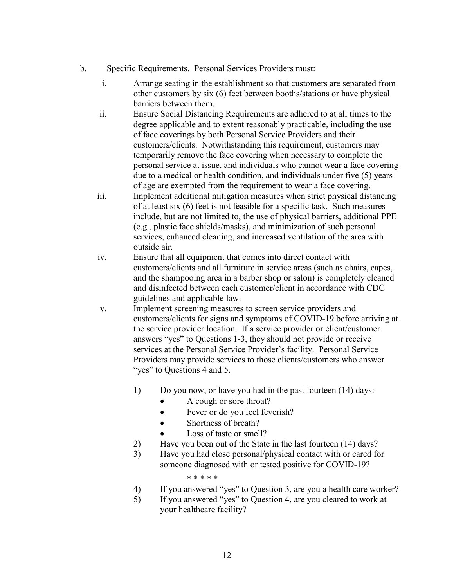- b. Specific Requirements. Personal Services Providers must:
	- i. Arrange seating in the establishment so that customers are separated from other customers by six (6) feet between booths/stations or have physical barriers between them.
	- ii. Ensure Social Distancing Requirements are adhered to at all times to the degree applicable and to extent reasonably practicable, including the use of face coverings by both Personal Service Providers and their customers/clients. Notwithstanding this requirement, customers may temporarily remove the face covering when necessary to complete the personal service at issue, and individuals who cannot wear a face covering due to a medical or health condition, and individuals under five (5) years of age are exempted from the requirement to wear a face covering.
	- iii. Implement additional mitigation measures when strict physical distancing of at least six (6) feet is not feasible for a specific task. Such measures include, but are not limited to, the use of physical barriers, additional PPE (e.g., plastic face shields/masks), and minimization of such personal services, enhanced cleaning, and increased ventilation of the area with outside air.
	- iv. Ensure that all equipment that comes into direct contact with customers/clients and all furniture in service areas (such as chairs, capes, and the shampooing area in a barber shop or salon) is completely cleaned and disinfected between each customer/client in accordance with CDC guidelines and applicable law.
	- v. Implement screening measures to screen service providers and customers/clients for signs and symptoms of COVID-19 before arriving at the service provider location. If a service provider or client/customer answers "yes" to Questions 1-3, they should not provide or receive services at the Personal Service Provider's facility. Personal Service Providers may provide services to those clients/customers who answer "yes" to Questions 4 and 5.
		- 1) Do you now, or have you had in the past fourteen (14) days:
			- A cough or sore throat?
			- Fever or do you feel feverish?
			- Shortness of breath?
			- Loss of taste or smell?
		- 2) Have you been out of the State in the last fourteen (14) days?
		- 3) Have you had close personal/physical contact with or cared for someone diagnosed with or tested positive for COVID-19?

\* \* \* \* \*

- 4) If you answered "yes" to Question 3, are you a health care worker?
- 5) If you answered "yes" to Question 4, are you cleared to work at your healthcare facility?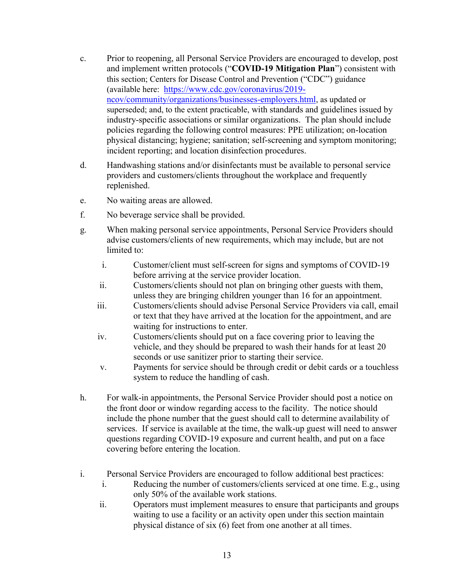- c. Prior to reopening, all Personal Service Providers are encouraged to develop, post and implement written protocols ("**COVID-19 Mitigation Plan**") consistent with this section; Centers for Disease Control and Prevention ("CDC") guidance (available here: [https://www.cdc.gov/coronavirus/2019](https://www.cdc.gov/coronavirus/2019-ncov/community/organizations/businesses-employers.html) [ncov/community/organizations/businesses-employers.html](https://www.cdc.gov/coronavirus/2019-ncov/community/organizations/businesses-employers.html), as updated or superseded; and, to the extent practicable, with standards and guidelines issued by industry-specific associations or similar organizations. The plan should include policies regarding the following control measures: PPE utilization; on-location physical distancing; hygiene; sanitation; self-screening and symptom monitoring; incident reporting; and location disinfection procedures.
- d. Handwashing stations and/or disinfectants must be available to personal service providers and customers/clients throughout the workplace and frequently replenished.
- e. No waiting areas are allowed.
- f. No beverage service shall be provided.
- g. When making personal service appointments, Personal Service Providers should advise customers/clients of new requirements, which may include, but are not limited to:
	- i. Customer/client must self-screen for signs and symptoms of COVID-19 before arriving at the service provider location.
	- ii. Customers/clients should not plan on bringing other guests with them, unless they are bringing children younger than 16 for an appointment.
	- iii. Customers/clients should advise Personal Service Providers via call, email or text that they have arrived at the location for the appointment, and are waiting for instructions to enter.
	- iv. Customers/clients should put on a face covering prior to leaving the vehicle, and they should be prepared to wash their hands for at least 20 seconds or use sanitizer prior to starting their service.
	- v. Payments for service should be through credit or debit cards or a touchless system to reduce the handling of cash.
- h. For walk-in appointments, the Personal Service Provider should post a notice on the front door or window regarding access to the facility. The notice should include the phone number that the guest should call to determine availability of services. If service is available at the time, the walk-up guest will need to answer questions regarding COVID-19 exposure and current health, and put on a face covering before entering the location.
- i. Personal Service Providers are encouraged to follow additional best practices:
	- i. Reducing the number of customers/clients serviced at one time. E.g., using only 50% of the available work stations.
	- ii. Operators must implement measures to ensure that participants and groups waiting to use a facility or an activity open under this section maintain physical distance of six (6) feet from one another at all times.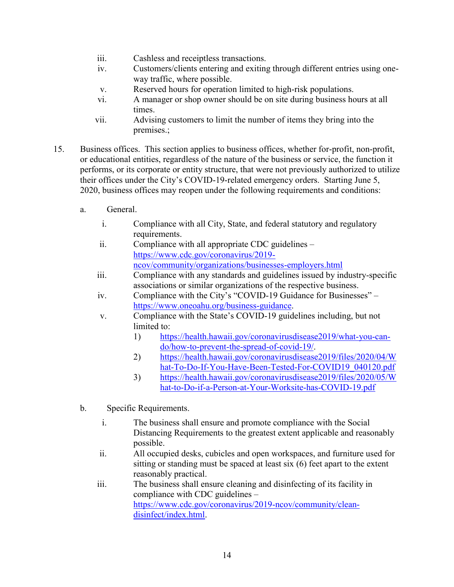- iii. Cashless and receiptless transactions.
- iv. Customers/clients entering and exiting through different entries using oneway traffic, where possible.
- v. Reserved hours for operation limited to high-risk populations.
- vi. A manager or shop owner should be on site during business hours at all times.
- vii. Advising customers to limit the number of items they bring into the premises.;
- 15. Business offices. This section applies to business offices, whether for-profit, non-profit, or educational entities, regardless of the nature of the business or service, the function it performs, or its corporate or entity structure, that were not previously authorized to utilize their offices under the City's COVID-19-related emergency orders. Starting June 5, 2020, business offices may reopen under the following requirements and conditions:
	- a. General.
		- i. Compliance with all City, State, and federal statutory and regulatory requirements.
		- ii. Compliance with all appropriate CDC guidelines [https://www.cdc.gov/coronavirus/2019](https://www.cdc.gov/coronavirus/2019-ncov/community/organizations/businesses-employers.html) [ncov/community/organizations/businesses-employers.html](https://www.cdc.gov/coronavirus/2019-ncov/community/organizations/businesses-employers.html)
		- iii. Compliance with any standards and guidelines issued by industry-specific associations or similar organizations of the respective business.
		- iv. Compliance with the City's "COVID-19 Guidance for Businesses" [https://www.oneoahu.org/business-guidance.](https://www.oneoahu.org/business-guidance)
		- v. Compliance with the State's COVID-19 guidelines including, but not limited to:
			- 1) [https://health.hawaii.gov/coronavirusdisease2019/what-you-can](https://health.hawaii.gov/coronavirusdisease2019/what-you-can-do/how-to-prevent-the-spread-of-covid-19/)[do/how-to-prevent-the-spread-of-covid-19/.](https://health.hawaii.gov/coronavirusdisease2019/what-you-can-do/how-to-prevent-the-spread-of-covid-19/)
			- 2) [https://health.hawaii.gov/coronavirusdisease2019/files/2020/04/W](https://health.hawaii.gov/coronavirusdisease2019/files/2020/04/What-To-Do-If-You-Have-Been-Tested-For-COVID19_040120.pdf) [hat-To-Do-If-You-Have-Been-Tested-For-COVID19\\_040120.pdf](https://health.hawaii.gov/coronavirusdisease2019/files/2020/04/What-To-Do-If-You-Have-Been-Tested-For-COVID19_040120.pdf)
			- 3) [https://health.hawaii.gov/coronavirusdisease2019/files/2020/05/W](https://health.hawaii.gov/coronavirusdisease2019/files/2020/05/What-to-Do-if-a-Person-at-Your-Worksite-has-COVID-19.pdf) [hat-to-Do-if-a-Person-at-Your-Worksite-has-COVID-19.pdf](https://health.hawaii.gov/coronavirusdisease2019/files/2020/05/What-to-Do-if-a-Person-at-Your-Worksite-has-COVID-19.pdf)
	- b. Specific Requirements.
		- i. The business shall ensure and promote compliance with the Social Distancing Requirements to the greatest extent applicable and reasonably possible.
		- ii. All occupied desks, cubicles and open workspaces, and furniture used for sitting or standing must be spaced at least six (6) feet apart to the extent reasonably practical.
		- iii. The business shall ensure cleaning and disinfecting of its facility in compliance with CDC guidelines – [https://www.cdc.gov/coronavirus/2019-ncov/community/clean](https://www.cdc.gov/coronavirus/2019-ncov/community/clean-disinfect/index.html)[disinfect/index.html.](https://www.cdc.gov/coronavirus/2019-ncov/community/clean-disinfect/index.html)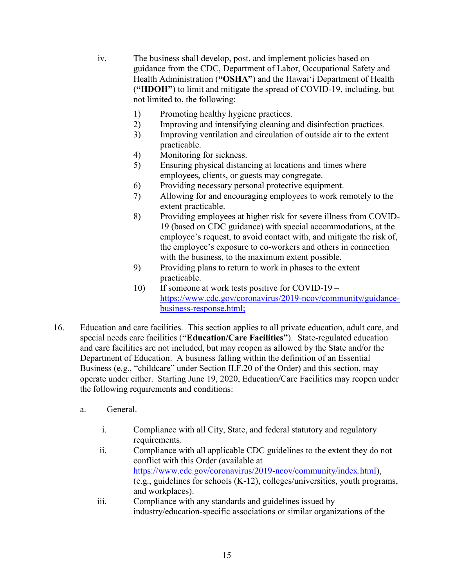- iv. The business shall develop, post, and implement policies based on guidance from the CDC, Department of Labor, Occupational Safety and Health Administration (**"OSHA"**) and the Hawaiʻi Department of Health (**"HDOH"**) to limit and mitigate the spread of COVID-19, including, but not limited to, the following:
	- 1) Promoting healthy hygiene practices.
	- 2) Improving and intensifying cleaning and disinfection practices.
	- 3) Improving ventilation and circulation of outside air to the extent practicable.
	- 4) Monitoring for sickness.
	- 5) Ensuring physical distancing at locations and times where employees, clients, or guests may congregate.
	- 6) Providing necessary personal protective equipment.
	- 7) Allowing for and encouraging employees to work remotely to the extent practicable.
	- 8) Providing employees at higher risk for severe illness from COVID-19 (based on CDC guidance) with special accommodations, at the employee's request, to avoid contact with, and mitigate the risk of, the employee's exposure to co-workers and others in connection with the business, to the maximum extent possible.
	- 9) Providing plans to return to work in phases to the extent practicable.
	- 10) If someone at work tests positive for COVID-19 [https://www.cdc.gov/coronavirus/2019-ncov/community/guidance](https://www.cdc.gov/coronavirus/2019-ncov/community/guidance-business-response.html)[business-response.html;](https://www.cdc.gov/coronavirus/2019-ncov/community/guidance-business-response.html)
- 16. Education and care facilities. This section applies to all private education, adult care, and special needs care facilities (**"Education/Care Facilities"**). State-regulated education and care facilities are not included, but may reopen as allowed by the State and/or the Department of Education. A business falling within the definition of an Essential Business (e.g., "childcare" under Section II.F.20 of the Order) and this section, may operate under either. Starting June 19, 2020, Education/Care Facilities may reopen under the following requirements and conditions:
	- a. General.
		- i. Compliance with all City, State, and federal statutory and regulatory requirements.
		- ii. Compliance with all applicable CDC guidelines to the extent they do not conflict with this Order (available at [https://www.cdc.gov/coronavirus/2019-ncov/community/index.html\)](https://www.cdc.gov/coronavirus/2019-ncov/community/index.html), (e.g., guidelines for schools (K-12), colleges/universities, youth programs, and workplaces).
		- iii. Compliance with any standards and guidelines issued by industry/education-specific associations or similar organizations of the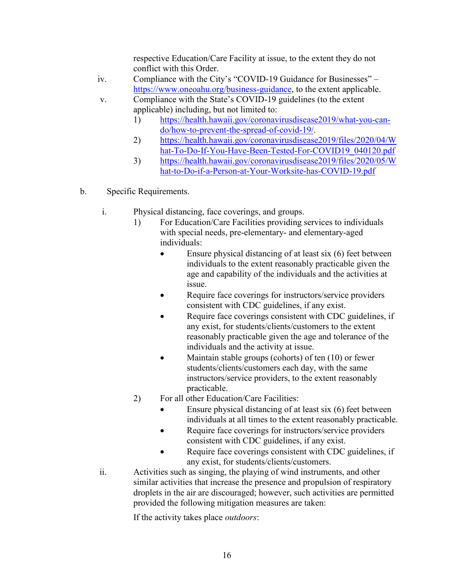respective Education/Care Facility at issue, to the extent they do not conflict with this Order.

- iv. Compliance with the City's "COVID-19 Guidance for Businesses" [https://www.oneoahu.org/business-guidance,](https://www.oneoahu.org/business-guidance) to the extent applicable.
- v. Compliance with the State's COVID-19 guidelines (to the extent applicable) including, but not limited to:
	- 1) [https://health.hawaii.gov/coronavirusdisease2019/what-you-can](https://health.hawaii.gov/coronavirusdisease2019/what-you-can-do/how-to-prevent-the-spread-of-covid-19/)[do/how-to-prevent-the-spread-of-covid-19/.](https://health.hawaii.gov/coronavirusdisease2019/what-you-can-do/how-to-prevent-the-spread-of-covid-19/)
	- 2) [https://health.hawaii.gov/coronavirusdisease2019/files/2020/04/W](https://health.hawaii.gov/coronavirusdisease2019/files/2020/04/What-To-Do-If-You-Have-Been-Tested-For-COVID19_040120.pdf) [hat-To-Do-If-You-Have-Been-Tested-For-COVID19\\_040120.pdf](https://health.hawaii.gov/coronavirusdisease2019/files/2020/04/What-To-Do-If-You-Have-Been-Tested-For-COVID19_040120.pdf)
	- 3) [https://health.hawaii.gov/coronavirusdisease2019/files/2020/05/W](https://health.hawaii.gov/coronavirusdisease2019/files/2020/05/What-to-Do-if-a-Person-at-Your-Worksite-has-COVID-19.pdf) [hat-to-Do-if-a-Person-at-Your-Worksite-has-COVID-19.pdf](https://health.hawaii.gov/coronavirusdisease2019/files/2020/05/What-to-Do-if-a-Person-at-Your-Worksite-has-COVID-19.pdf)
- b. Specific Requirements.
	- i. Physical distancing, face coverings, and groups.
		- 1) For Education/Care Facilities providing services to individuals with special needs, pre-elementary- and elementary-aged individuals:
			- Ensure physical distancing of at least six (6) feet between individuals to the extent reasonably practicable given the age and capability of the individuals and the activities at issue.
			- Require face coverings for instructors/service providers consistent with CDC guidelines, if any exist.
			- Require face coverings consistent with CDC guidelines, if any exist, for students/clients/customers to the extent reasonably practicable given the age and tolerance of the individuals and the activity at issue.
			- Maintain stable groups (cohorts) of ten (10) or fewer students/clients/customers each day, with the same instructors/service providers, to the extent reasonably practicable.
		- 2) For all other Education/Care Facilities:
			- Ensure physical distancing of at least six (6) feet between individuals at all times to the extent reasonably practicable.
			- Require face coverings for instructors/service providers consistent with CDC guidelines, if any exist.
			- Require face coverings consistent with CDC guidelines, if any exist, for students/clients/customers.
	- ii. Activities such as singing, the playing of wind instruments, and other similar activities that increase the presence and propulsion of respiratory droplets in the air are discouraged; however, such activities are permitted provided the following mitigation measures are taken:

If the activity takes place *outdoors*: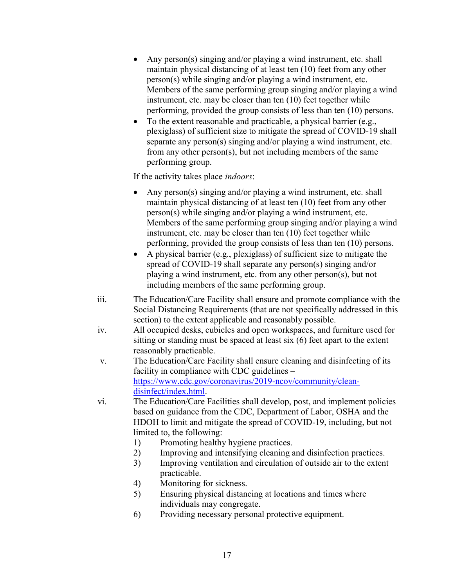- Any person(s) singing and/or playing a wind instrument, etc. shall maintain physical distancing of at least ten (10) feet from any other person(s) while singing and/or playing a wind instrument, etc. Members of the same performing group singing and/or playing a wind instrument, etc. may be closer than ten (10) feet together while performing, provided the group consists of less than ten (10) persons.
- To the extent reasonable and practicable, a physical barrier (e.g., plexiglass) of sufficient size to mitigate the spread of COVID-19 shall separate any person(s) singing and/or playing a wind instrument, etc. from any other person(s), but not including members of the same performing group.

If the activity takes place *indoors*:

- Any person(s) singing and/or playing a wind instrument, etc. shall maintain physical distancing of at least ten (10) feet from any other person(s) while singing and/or playing a wind instrument, etc. Members of the same performing group singing and/or playing a wind instrument, etc. may be closer than ten (10) feet together while performing, provided the group consists of less than ten (10) persons.
- A physical barrier (e.g., plexiglass) of sufficient size to mitigate the spread of COVID-19 shall separate any person(s) singing and/or playing a wind instrument, etc. from any other person(s), but not including members of the same performing group.
- iii. The Education/Care Facility shall ensure and promote compliance with the Social Distancing Requirements (that are not specifically addressed in this section) to the extent applicable and reasonably possible.
- iv. All occupied desks, cubicles and open workspaces, and furniture used for sitting or standing must be spaced at least six (6) feet apart to the extent reasonably practicable.
- v. The Education/Care Facility shall ensure cleaning and disinfecting of its facility in compliance with CDC guidelines – [https://www.cdc.gov/coronavirus/2019-ncov/community/clean](https://www.cdc.gov/coronavirus/2019-ncov/community/clean-disinfect/index.html)[disinfect/index.html.](https://www.cdc.gov/coronavirus/2019-ncov/community/clean-disinfect/index.html)
- vi. The Education/Care Facilities shall develop, post, and implement policies based on guidance from the CDC, Department of Labor, OSHA and the HDOH to limit and mitigate the spread of COVID-19, including, but not limited to, the following:
	- 1) Promoting healthy hygiene practices.
	- 2) Improving and intensifying cleaning and disinfection practices.
	- 3) Improving ventilation and circulation of outside air to the extent practicable.
	- 4) Monitoring for sickness.
	- 5) Ensuring physical distancing at locations and times where individuals may congregate.
	- 6) Providing necessary personal protective equipment.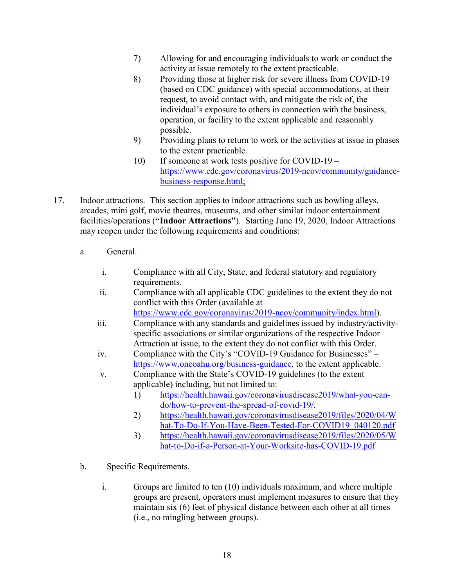- 7) Allowing for and encouraging individuals to work or conduct the activity at issue remotely to the extent practicable.
- 8) Providing those at higher risk for severe illness from COVID-19 (based on CDC guidance) with special accommodations, at their request, to avoid contact with, and mitigate the risk of, the individual's exposure to others in connection with the business, operation, or facility to the extent applicable and reasonably possible.
- 9) Providing plans to return to work or the activities at issue in phases to the extent practicable.
- 10) If someone at work tests positive for COVID-19 [https://www.cdc.gov/coronavirus/2019-ncov/community/guidance](https://www.cdc.gov/coronavirus/2019-ncov/community/guidance-business-response.html)[business-response.html;](https://www.cdc.gov/coronavirus/2019-ncov/community/guidance-business-response.html)
- 17. Indoor attractions. This section applies to indoor attractions such as bowling alleys, arcades, mini golf, movie theatres, museums, and other similar indoor entertainment facilities/operations (**"Indoor Attractions"**). Starting June 19, 2020, Indoor Attractions may reopen under the following requirements and conditions:
	- a. General.
		- i. Compliance with all City, State, and federal statutory and regulatory requirements.
		- ii. Compliance with all applicable CDC guidelines to the extent they do not conflict with this Order (available at [https://www.cdc.gov/coronavirus/2019-ncov/community/index.html\)](https://www.cdc.gov/coronavirus/2019-ncov/community/index.html).
		- iii. Compliance with any standards and guidelines issued by industry/activityspecific associations or similar organizations of the respective Indoor Attraction at issue, to the extent they do not conflict with this Order.
		- iv. Compliance with the City's "COVID-19 Guidance for Businesses" [https://www.oneoahu.org/business-guidance,](https://www.oneoahu.org/business-guidance) to the extent applicable.
		- v. Compliance with the State's COVID-19 guidelines (to the extent applicable) including, but not limited to:
			- 1) [https://health.hawaii.gov/coronavirusdisease2019/what-you-can](https://health.hawaii.gov/coronavirusdisease2019/what-you-can-do/how-to-prevent-the-spread-of-covid-19/)[do/how-to-prevent-the-spread-of-covid-19/.](https://health.hawaii.gov/coronavirusdisease2019/what-you-can-do/how-to-prevent-the-spread-of-covid-19/)
			- 2) [https://health.hawaii.gov/coronavirusdisease2019/files/2020/04/W](https://health.hawaii.gov/coronavirusdisease2019/files/2020/04/What-To-Do-If-You-Have-Been-Tested-For-COVID19_040120.pdf) [hat-To-Do-If-You-Have-Been-Tested-For-COVID19\\_040120.pdf](https://health.hawaii.gov/coronavirusdisease2019/files/2020/04/What-To-Do-If-You-Have-Been-Tested-For-COVID19_040120.pdf)
			- 3) [https://health.hawaii.gov/coronavirusdisease2019/files/2020/05/W](https://health.hawaii.gov/coronavirusdisease2019/files/2020/05/What-to-Do-if-a-Person-at-Your-Worksite-has-COVID-19.pdf) [hat-to-Do-if-a-Person-at-Your-Worksite-has-COVID-19.pdf](https://health.hawaii.gov/coronavirusdisease2019/files/2020/05/What-to-Do-if-a-Person-at-Your-Worksite-has-COVID-19.pdf)
	- b. Specific Requirements.
		- i. Groups are limited to ten (10) individuals maximum, and where multiple groups are present, operators must implement measures to ensure that they maintain six (6) feet of physical distance between each other at all times (i.e., no mingling between groups).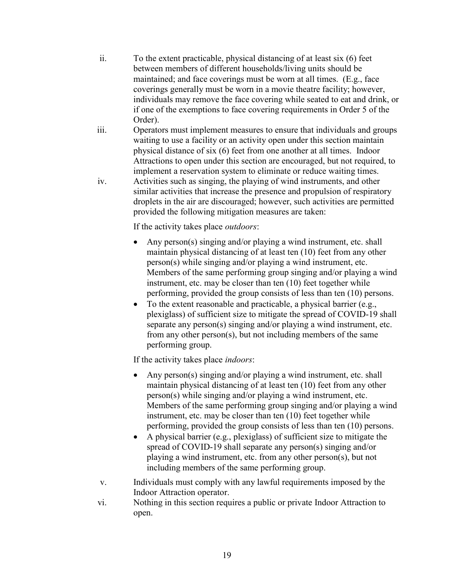- ii. To the extent practicable, physical distancing of at least six (6) feet between members of different households/living units should be maintained; and face coverings must be worn at all times. (E.g., face coverings generally must be worn in a movie theatre facility; however, individuals may remove the face covering while seated to eat and drink, or if one of the exemptions to face covering requirements in Order 5 of the Order).
- iii. Operators must implement measures to ensure that individuals and groups waiting to use a facility or an activity open under this section maintain physical distance of six (6) feet from one another at all times. Indoor Attractions to open under this section are encouraged, but not required, to implement a reservation system to eliminate or reduce waiting times. iv. Activities such as singing, the playing of wind instruments, and other similar activities that increase the presence and propulsion of respiratory droplets in the air are discouraged; however, such activities are permitted provided the following mitigation measures are taken:

If the activity takes place *outdoors*:

- Any person(s) singing and/or playing a wind instrument, etc. shall maintain physical distancing of at least ten (10) feet from any other person(s) while singing and/or playing a wind instrument, etc. Members of the same performing group singing and/or playing a wind instrument, etc. may be closer than ten (10) feet together while performing, provided the group consists of less than ten (10) persons.
- To the extent reasonable and practicable, a physical barrier (e.g., plexiglass) of sufficient size to mitigate the spread of COVID-19 shall separate any person(s) singing and/or playing a wind instrument, etc. from any other person(s), but not including members of the same performing group.

If the activity takes place *indoors*:

- Any person(s) singing and/or playing a wind instrument, etc. shall maintain physical distancing of at least ten (10) feet from any other person(s) while singing and/or playing a wind instrument, etc. Members of the same performing group singing and/or playing a wind instrument, etc. may be closer than ten (10) feet together while performing, provided the group consists of less than ten (10) persons.
- A physical barrier (e.g., plexiglass) of sufficient size to mitigate the spread of COVID-19 shall separate any person(s) singing and/or playing a wind instrument, etc. from any other person(s), but not including members of the same performing group.
- v. Individuals must comply with any lawful requirements imposed by the Indoor Attraction operator.
- vi. Nothing in this section requires a public or private Indoor Attraction to open.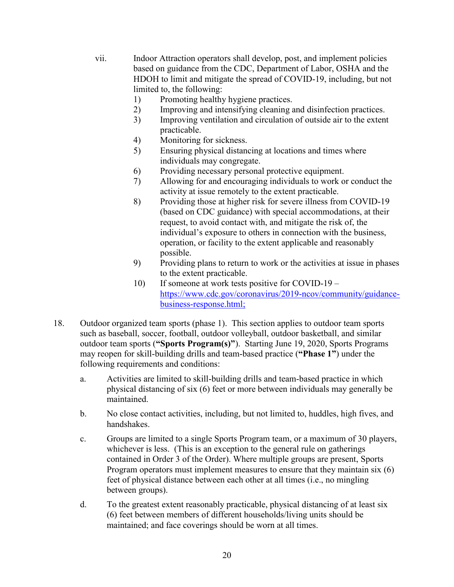- vii. Indoor Attraction operators shall develop, post, and implement policies based on guidance from the CDC, Department of Labor, OSHA and the HDOH to limit and mitigate the spread of COVID-19, including, but not limited to, the following:
	- 1) Promoting healthy hygiene practices.
	- 2) Improving and intensifying cleaning and disinfection practices.
	- 3) Improving ventilation and circulation of outside air to the extent practicable.
	- 4) Monitoring for sickness.
	- 5) Ensuring physical distancing at locations and times where individuals may congregate.
	- 6) Providing necessary personal protective equipment.
	- 7) Allowing for and encouraging individuals to work or conduct the activity at issue remotely to the extent practicable.
	- 8) Providing those at higher risk for severe illness from COVID-19 (based on CDC guidance) with special accommodations, at their request, to avoid contact with, and mitigate the risk of, the individual's exposure to others in connection with the business, operation, or facility to the extent applicable and reasonably possible.
	- 9) Providing plans to return to work or the activities at issue in phases to the extent practicable.
	- 10) If someone at work tests positive for COVID-19 [https://www.cdc.gov/coronavirus/2019-ncov/community/guidance](https://www.cdc.gov/coronavirus/2019-ncov/community/guidance-business-response.html)[business-response.html;](https://www.cdc.gov/coronavirus/2019-ncov/community/guidance-business-response.html)
- 18. Outdoor organized team sports (phase 1). This section applies to outdoor team sports such as baseball, soccer, football, outdoor volleyball, outdoor basketball, and similar outdoor team sports (**"Sports Program(s)"**). Starting June 19, 2020, Sports Programs may reopen for skill-building drills and team-based practice (**"Phase 1"**) under the following requirements and conditions:
	- a. Activities are limited to skill-building drills and team-based practice in which physical distancing of six (6) feet or more between individuals may generally be maintained.
	- b. No close contact activities, including, but not limited to, huddles, high fives, and handshakes.
	- c. Groups are limited to a single Sports Program team, or a maximum of 30 players, whichever is less. (This is an exception to the general rule on gatherings contained in Order 3 of the Order). Where multiple groups are present, Sports Program operators must implement measures to ensure that they maintain six (6) feet of physical distance between each other at all times (i.e., no mingling between groups).
	- d. To the greatest extent reasonably practicable, physical distancing of at least six (6) feet between members of different households/living units should be maintained; and face coverings should be worn at all times.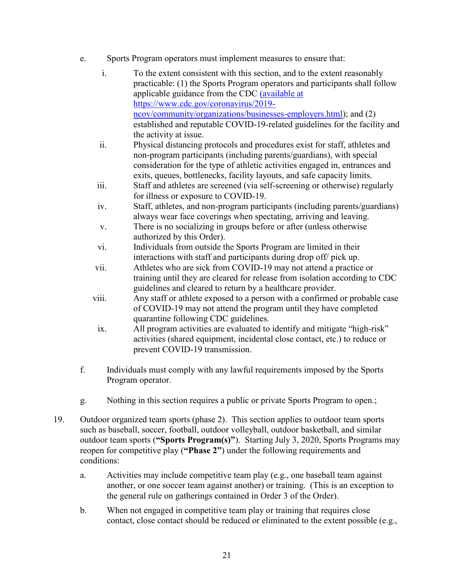- e. Sports Program operators must implement measures to ensure that:
	- i. To the extent consistent with this section, and to the extent reasonably practicable: (1) the Sports Program operators and participants shall follow applicable guidance from the CDC (available at [https://www.cdc.gov/coronavirus/2019](https://www.cdc.gov/coronavirus/2019-ncov/community/organizations/businesses-employers.html) [ncov/community/organizations/businesses-employers.html\)](https://www.cdc.gov/coronavirus/2019-ncov/community/organizations/businesses-employers.html); and (2) established and reputable COVID-19-related guidelines for the facility and the activity at issue. ii. Physical distancing protocols and procedures exist for staff, athletes and
	- non-program participants (including parents/guardians), with special consideration for the type of athletic activities engaged in, entrances and exits, queues, bottlenecks, facility layouts, and safe capacity limits.
	- iii. Staff and athletes are screened (via self-screening or otherwise) regularly for illness or exposure to COVID-19.
	- iv. Staff, athletes, and non-program participants (including parents/guardians) always wear face coverings when spectating, arriving and leaving.
	- v. There is no socializing in groups before or after (unless otherwise authorized by this Order).
	- vi. Individuals from outside the Sports Program are limited in their interactions with staff and participants during drop off/ pick up.
	- vii. Athletes who are sick from COVID-19 may not attend a practice or training until they are cleared for release from isolation according to CDC guidelines and cleared to return by a healthcare provider.
	- viii. Any staff or athlete exposed to a person with a confirmed or probable case of COVID-19 may not attend the program until they have completed quarantine following CDC guidelines.
	- ix. All program activities are evaluated to identify and mitigate "high-risk" activities (shared equipment, incidental close contact, etc.) to reduce or prevent COVID-19 transmission.
- f. Individuals must comply with any lawful requirements imposed by the Sports Program operator.
- g. Nothing in this section requires a public or private Sports Program to open.;
- 19. Outdoor organized team sports (phase 2). This section applies to outdoor team sports such as baseball, soccer, football, outdoor volleyball, outdoor basketball, and similar outdoor team sports (**"Sports Program(s)"**). Starting July 3, 2020, Sports Programs may reopen for competitive play (**"Phase 2"**) under the following requirements and conditions:
	- a. Activities may include competitive team play (e.g., one baseball team against another, or one soccer team against another) or training. (This is an exception to the general rule on gatherings contained in Order 3 of the Order).
	- b. When not engaged in competitive team play or training that requires close contact, close contact should be reduced or eliminated to the extent possible (e.g.,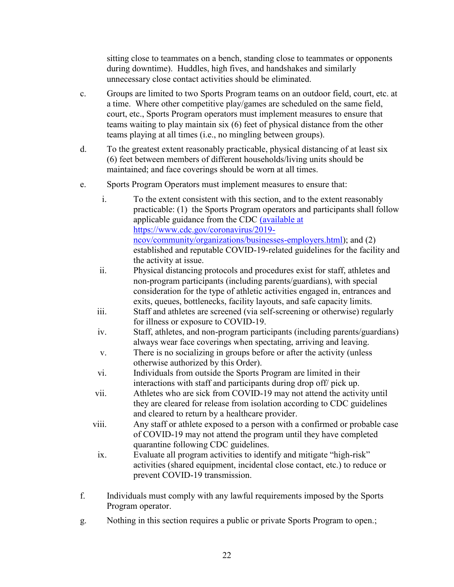sitting close to teammates on a bench, standing close to teammates or opponents during downtime). Huddles, high fives, and handshakes and similarly unnecessary close contact activities should be eliminated.

- c. Groups are limited to two Sports Program teams on an outdoor field, court, etc. at a time. Where other competitive play/games are scheduled on the same field, court, etc., Sports Program operators must implement measures to ensure that teams waiting to play maintain six (6) feet of physical distance from the other teams playing at all times (i.e., no mingling between groups).
- d. To the greatest extent reasonably practicable, physical distancing of at least six (6) feet between members of different households/living units should be maintained; and face coverings should be worn at all times.
- e. Sports Program Operators must implement measures to ensure that:
	- i. To the extent consistent with this section, and to the extent reasonably practicable: (1) the Sports Program operators and participants shall follow applicable guidance from the CDC (available at [https://www.cdc.gov/coronavirus/2019](https://www.cdc.gov/coronavirus/2019-ncov/community/organizations/businesses-employers.html) [ncov/community/organizations/businesses-employers.html\)](https://www.cdc.gov/coronavirus/2019-ncov/community/organizations/businesses-employers.html); and (2) established and reputable COVID-19-related guidelines for the facility and the activity at issue.
	- ii. Physical distancing protocols and procedures exist for staff, athletes and non-program participants (including parents/guardians), with special consideration for the type of athletic activities engaged in, entrances and exits, queues, bottlenecks, facility layouts, and safe capacity limits.
	- iii. Staff and athletes are screened (via self-screening or otherwise) regularly for illness or exposure to COVID-19.
	- iv. Staff, athletes, and non-program participants (including parents/guardians) always wear face coverings when spectating, arriving and leaving.
	- v. There is no socializing in groups before or after the activity (unless otherwise authorized by this Order).
	- vi. Individuals from outside the Sports Program are limited in their interactions with staff and participants during drop off/ pick up.
	- vii. Athletes who are sick from COVID-19 may not attend the activity until they are cleared for release from isolation according to CDC guidelines and cleared to return by a healthcare provider.
	- viii. Any staff or athlete exposed to a person with a confirmed or probable case of COVID-19 may not attend the program until they have completed quarantine following CDC guidelines.
	- ix. Evaluate all program activities to identify and mitigate "high-risk" activities (shared equipment, incidental close contact, etc.) to reduce or prevent COVID-19 transmission.
- f. Individuals must comply with any lawful requirements imposed by the Sports Program operator.
- g. Nothing in this section requires a public or private Sports Program to open.;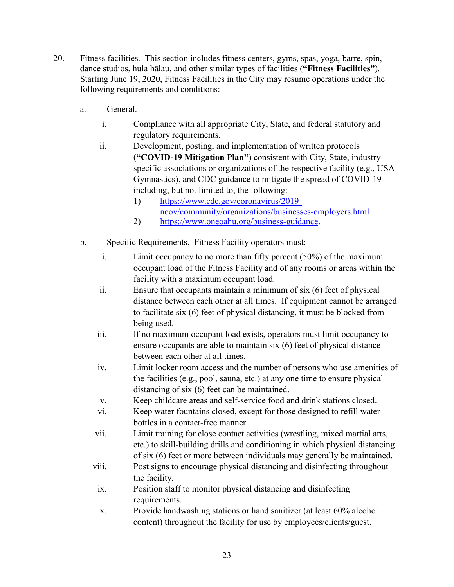- 20. Fitness facilities. This section includes fitness centers, gyms, spas, yoga, barre, spin, dance studios, hula hālau, and other similar types of facilities (**"Fitness Facilities"**). Starting June 19, 2020, Fitness Facilities in the City may resume operations under the following requirements and conditions:
	- a. General.
		- i. Compliance with all appropriate City, State, and federal statutory and regulatory requirements.
		- ii. Development, posting, and implementation of written protocols (**"COVID-19 Mitigation Plan"**) consistent with City, State, industryspecific associations or organizations of the respective facility (e.g., USA Gymnastics), and CDC guidance to mitigate the spread of COVID-19 including, but not limited to, the following:
			- 1) [https://www.cdc.gov/coronavirus/2019](https://www.cdc.gov/coronavirus/2019-ncov/community/organizations/businesses-employers.html) [ncov/community/organizations/businesses-employers.html](https://www.cdc.gov/coronavirus/2019-ncov/community/organizations/businesses-employers.html)
			- 2) [https://www.oneoahu.org/business-guidance.](https://www.oneoahu.org/business-guidance)
	- b. Specific Requirements. Fitness Facility operators must:
		- i. Limit occupancy to no more than fifty percent (50%) of the maximum occupant load of the Fitness Facility and of any rooms or areas within the facility with a maximum occupant load.
		- ii. Ensure that occupants maintain a minimum of six (6) feet of physical distance between each other at all times. If equipment cannot be arranged to facilitate six (6) feet of physical distancing, it must be blocked from being used.
		- iii. If no maximum occupant load exists, operators must limit occupancy to ensure occupants are able to maintain six (6) feet of physical distance between each other at all times.
		- iv. Limit locker room access and the number of persons who use amenities of the facilities (e.g., pool, sauna, etc.) at any one time to ensure physical distancing of six (6) feet can be maintained.
		- v. Keep childcare areas and self-service food and drink stations closed.
		- vi. Keep water fountains closed, except for those designed to refill water bottles in a contact-free manner.
		- vii. Limit training for close contact activities (wrestling, mixed martial arts, etc.) to skill-building drills and conditioning in which physical distancing of six (6) feet or more between individuals may generally be maintained.
		- viii. Post signs to encourage physical distancing and disinfecting throughout the facility.
		- ix. Position staff to monitor physical distancing and disinfecting requirements.
		- x. Provide handwashing stations or hand sanitizer (at least 60% alcohol content) throughout the facility for use by employees/clients/guest.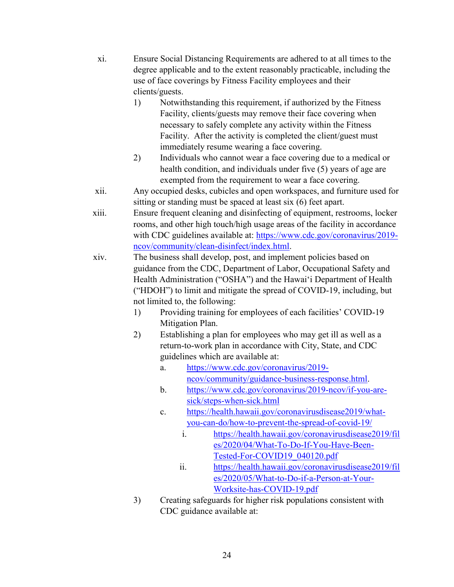- xi. Ensure Social Distancing Requirements are adhered to at all times to the degree applicable and to the extent reasonably practicable, including the use of face coverings by Fitness Facility employees and their clients/guests.
	- 1) Notwithstanding this requirement, if authorized by the Fitness Facility, clients/guests may remove their face covering when necessary to safely complete any activity within the Fitness Facility. After the activity is completed the client/guest must immediately resume wearing a face covering.
	- 2) Individuals who cannot wear a face covering due to a medical or health condition, and individuals under five (5) years of age are exempted from the requirement to wear a face covering.
- xii. Any occupied desks, cubicles and open workspaces, and furniture used for sitting or standing must be spaced at least six (6) feet apart.
- xiii. Ensure frequent cleaning and disinfecting of equipment, restrooms, locker rooms, and other high touch/high usage areas of the facility in accordance with CDC guidelines available at: [https://www.cdc.gov/coronavirus/2019](https://www.cdc.gov/coronavirus/2019-ncov/community/clean-disinfect/index.html) [ncov/community/clean-disinfect/index.html.](https://www.cdc.gov/coronavirus/2019-ncov/community/clean-disinfect/index.html)
- xiv. The business shall develop, post, and implement policies based on guidance from the CDC, Department of Labor, Occupational Safety and Health Administration ("OSHA") and the Hawaiʻi Department of Health ("HDOH") to limit and mitigate the spread of COVID-19, including, but not limited to, the following:
	- 1) Providing training for employees of each facilities' COVID-19 Mitigation Plan.
	- 2) Establishing a plan for employees who may get ill as well as a return-to-work plan in accordance with City, State, and CDC guidelines which are available at:
		- a. [https://www.cdc.gov/coronavirus/2019](https://www.cdc.gov/coronavirus/2019-ncov/community/guidance-business-response.html) [ncov/community/guidance-business-response.html.](https://www.cdc.gov/coronavirus/2019-ncov/community/guidance-business-response.html)
		- b. [https://www.cdc.gov/coronavirus/2019-ncov/if-you-are](https://www.cdc.gov/coronavirus/2019-ncov/if-you-are-sick/steps-when-sick.html)[sick/steps-when-sick.html](https://www.cdc.gov/coronavirus/2019-ncov/if-you-are-sick/steps-when-sick.html)
		- c. [https://health.hawaii.gov/coronavirusdisease2019/what](https://health.hawaii.gov/coronavirusdisease2019/what-you-can-do/how-to-prevent-the-spread-of-covid-19/)[you-can-do/how-to-prevent-the-spread-of-covid-19/](https://health.hawaii.gov/coronavirusdisease2019/what-you-can-do/how-to-prevent-the-spread-of-covid-19/)
			- i. [https://health.hawaii.gov/coronavirusdisease2019/fil](https://health.hawaii.gov/coronavirusdisease2019/files/2020/04/What-To-Do-If-You-Have-Been-Tested-For-COVID19_040120.pdf) [es/2020/04/What-To-Do-If-You-Have-Been-](https://health.hawaii.gov/coronavirusdisease2019/files/2020/04/What-To-Do-If-You-Have-Been-Tested-For-COVID19_040120.pdf)[Tested-For-COVID19\\_040120.pdf](https://health.hawaii.gov/coronavirusdisease2019/files/2020/04/What-To-Do-If-You-Have-Been-Tested-For-COVID19_040120.pdf)
			- ii. [https://health.hawaii.gov/coronavirusdisease2019/fil](https://health.hawaii.gov/coronavirusdisease2019/files/2020/05/What-to-Do-if-a-Person-at-Your-Worksite-has-COVID-19.pdf) [es/2020/05/What-to-Do-if-a-Person-at-Your-](https://health.hawaii.gov/coronavirusdisease2019/files/2020/05/What-to-Do-if-a-Person-at-Your-Worksite-has-COVID-19.pdf)[Worksite-has-COVID-19.pdf](https://health.hawaii.gov/coronavirusdisease2019/files/2020/05/What-to-Do-if-a-Person-at-Your-Worksite-has-COVID-19.pdf)
	- 3) Creating safeguards for higher risk populations consistent with CDC guidance available at: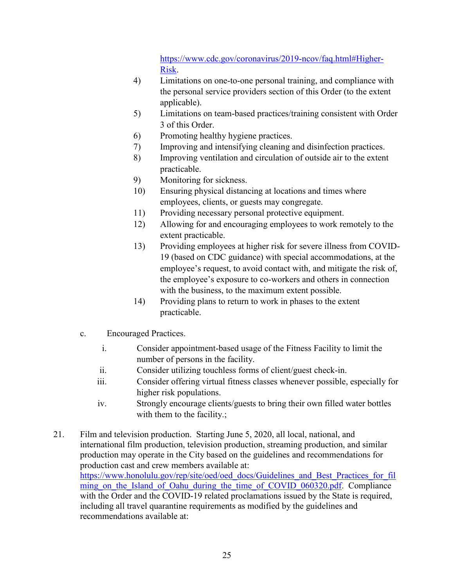[https://www.cdc.gov/coronavirus/2019-ncov/faq.html#Higher-](https://www.cdc.gov/coronavirus/2019-ncov/faq.html#Higher-Risk)[Risk.](https://www.cdc.gov/coronavirus/2019-ncov/faq.html#Higher-Risk)

- 4) Limitations on one-to-one personal training, and compliance with the personal service providers section of this Order (to the extent applicable).
- 5) Limitations on team-based practices/training consistent with Order 3 of this Order.
- 6) Promoting healthy hygiene practices.
- 7) Improving and intensifying cleaning and disinfection practices.
- 8) Improving ventilation and circulation of outside air to the extent practicable.
- 9) Monitoring for sickness.
- 10) Ensuring physical distancing at locations and times where employees, clients, or guests may congregate.
- 11) Providing necessary personal protective equipment.
- 12) Allowing for and encouraging employees to work remotely to the extent practicable.
- 13) Providing employees at higher risk for severe illness from COVID-19 (based on CDC guidance) with special accommodations, at the employee's request, to avoid contact with, and mitigate the risk of, the employee's exposure to co-workers and others in connection with the business, to the maximum extent possible.
- 14) Providing plans to return to work in phases to the extent practicable.
- c. Encouraged Practices.
	- i. Consider appointment-based usage of the Fitness Facility to limit the number of persons in the facility.
	- ii. Consider utilizing touchless forms of client/guest check-in.
	- iii. Consider offering virtual fitness classes whenever possible, especially for higher risk populations.
	- iv. Strongly encourage clients/guests to bring their own filled water bottles with them to the facility.;
- 21. Film and television production. Starting June 5, 2020, all local, national, and international film production, television production, streaming production, and similar production may operate in the City based on the guidelines and recommendations for production cast and crew members available at: [https://www.honolulu.gov/rep/site/oed/oed\\_docs/Guidelines\\_and\\_Best\\_Practices\\_for\\_fil](https://www.honolulu.gov/rep/site/oed/oed_docs/Guidelines_and_Best_Practices_for_filming_on_the_Island_of_Oahu_during_the_time_of_COVID_060320.pdf)\_ ming on the Island of Oahu during the time of COVID 060320.pdf. Compliance with the Order and the COVID-19 related proclamations issued by the State is required, including all travel quarantine requirements as modified by the guidelines and recommendations available at: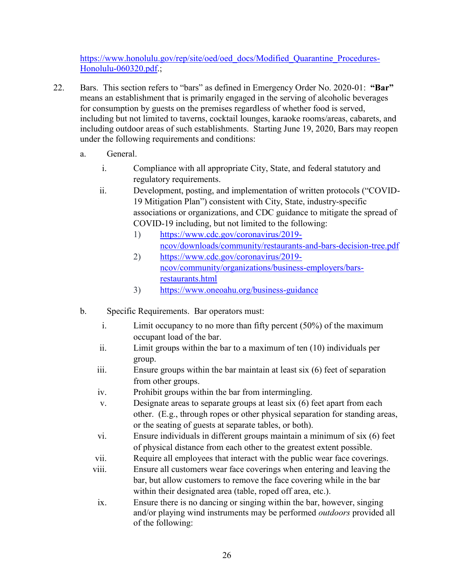[https://www.honolulu.gov/rep/site/oed/oed\\_docs/Modified\\_Quarantine\\_Procedures-](https://www.honolulu.gov/rep/site/oed/oed_docs/Modified_Quarantine_Procedures-Honolulu-060320.pdf)[Honolulu-060320.pdf.](https://www.honolulu.gov/rep/site/oed/oed_docs/Modified_Quarantine_Procedures-Honolulu-060320.pdf);

- 22. Bars. This section refers to "bars" as defined in Emergency Order No. 2020-01: **"Bar"** means an establishment that is primarily engaged in the serving of alcoholic beverages for consumption by guests on the premises regardless of whether food is served, including but not limited to taverns, cocktail lounges, karaoke rooms/areas, cabarets, and including outdoor areas of such establishments. Starting June 19, 2020, Bars may reopen under the following requirements and conditions:
	- a. General.
		- i. Compliance with all appropriate City, State, and federal statutory and regulatory requirements.
		- ii. Development, posting, and implementation of written protocols ("COVID-19 Mitigation Plan") consistent with City, State, industry-specific associations or organizations, and CDC guidance to mitigate the spread of COVID-19 including, but not limited to the following:
			- 1) [https://www.cdc.gov/coronavirus/2019](https://www.cdc.gov/coronavirus/2019-ncov/downloads/community/restaurants-and-bars-decision-tree.pdf) [ncov/downloads/community/restaurants-and-bars-decision-tree.pdf](https://www.cdc.gov/coronavirus/2019-ncov/downloads/community/restaurants-and-bars-decision-tree.pdf)
			- 2) [https://www.cdc.gov/coronavirus/2019](https://www.cdc.gov/coronavirus/2019-ncov/community/organizations/business-employers/bars-restaurants.html) [ncov/community/organizations/business-employers/bars](https://www.cdc.gov/coronavirus/2019-ncov/community/organizations/business-employers/bars-restaurants.html)[restaurants.html](https://www.cdc.gov/coronavirus/2019-ncov/community/organizations/business-employers/bars-restaurants.html)
			- 3) <https://www.oneoahu.org/business-guidance>
	- b. Specific Requirements. Bar operators must:
		- i. Limit occupancy to no more than fifty percent (50%) of the maximum occupant load of the bar.
		- ii. Limit groups within the bar to a maximum of ten (10) individuals per group.
		- iii. Ensure groups within the bar maintain at least six (6) feet of separation from other groups.
		- iv. Prohibit groups within the bar from intermingling.
		- v. Designate areas to separate groups at least six (6) feet apart from each other. (E.g., through ropes or other physical separation for standing areas, or the seating of guests at separate tables, or both).
		- vi. Ensure individuals in different groups maintain a minimum of six (6) feet of physical distance from each other to the greatest extent possible.
		- vii. Require all employees that interact with the public wear face coverings.
		- viii. Ensure all customers wear face coverings when entering and leaving the bar, but allow customers to remove the face covering while in the bar within their designated area (table, roped off area, etc.).
		- ix. Ensure there is no dancing or singing within the bar, however, singing and/or playing wind instruments may be performed *outdoors* provided all of the following: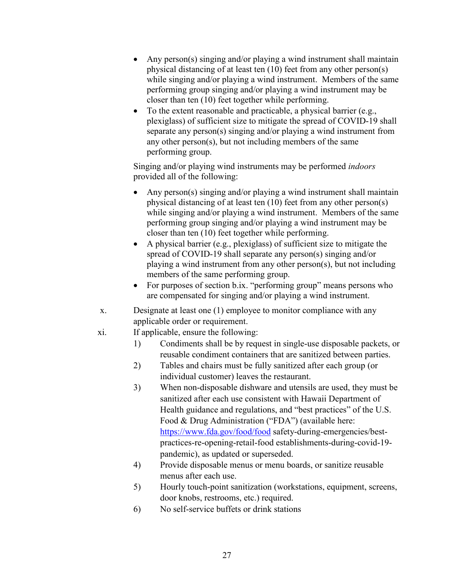- Any person(s) singing and/or playing a wind instrument shall maintain physical distancing of at least ten (10) feet from any other person(s) while singing and/or playing a wind instrument. Members of the same performing group singing and/or playing a wind instrument may be closer than ten (10) feet together while performing.
- To the extent reasonable and practicable, a physical barrier (e.g., plexiglass) of sufficient size to mitigate the spread of COVID-19 shall separate any person(s) singing and/or playing a wind instrument from any other person(s), but not including members of the same performing group.

Singing and/or playing wind instruments may be performed *indoors* provided all of the following:

- Any person(s) singing and/or playing a wind instrument shall maintain physical distancing of at least ten (10) feet from any other person(s) while singing and/or playing a wind instrument. Members of the same performing group singing and/or playing a wind instrument may be closer than ten (10) feet together while performing.
- A physical barrier (e.g., plexiglass) of sufficient size to mitigate the spread of COVID-19 shall separate any person(s) singing and/or playing a wind instrument from any other person(s), but not including members of the same performing group.
- For purposes of section b.ix. "performing group" means persons who are compensated for singing and/or playing a wind instrument.
- x. Designate at least one (1) employee to monitor compliance with any applicable order or requirement.
- xi. If applicable, ensure the following:
	- 1) Condiments shall be by request in single-use disposable packets, or reusable condiment containers that are sanitized between parties.
	- 2) Tables and chairs must be fully sanitized after each group (or individual customer) leaves the restaurant.
	- 3) When non-disposable dishware and utensils are used, they must be sanitized after each use consistent with Hawaii Department of Health guidance and regulations, and "best practices" of the U.S. Food & Drug Administration ("FDA") (available here: <https://www.fda.gov/food/food> safety-during-emergencies/bestpractices-re-opening-retail-food establishments-during-covid-19 pandemic), as updated or superseded.
	- 4) Provide disposable menus or menu boards, or sanitize reusable menus after each use.
	- 5) Hourly touch-point sanitization (workstations, equipment, screens, door knobs, restrooms, etc.) required.
	- 6) No self-service buffets or drink stations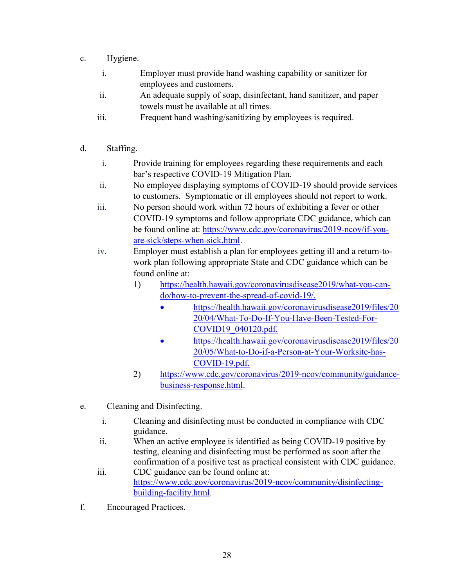- c. Hygiene.
	- i. Employer must provide hand washing capability or sanitizer for employees and customers.
	- ii. An adequate supply of soap, disinfectant, hand sanitizer, and paper towels must be available at all times.
	- iii. Frequent hand washing/sanitizing by employees is required.
- d. Staffing.
	- i. Provide training for employees regarding these requirements and each bar's respective COVID-19 Mitigation Plan.
	- ii. No employee displaying symptoms of COVID-19 should provide services to customers. Symptomatic or ill employees should not report to work.
	- iii. No person should work within 72 hours of exhibiting a fever or other COVID-19 symptoms and follow appropriate CDC guidance, which can be found online at: [https://www.cdc.gov/coronavirus/2019-ncov/if-you](https://www.cdc.gov/coronavirus/2019-ncov/if-you-are-sick/steps-when-sick.html)[are-sick/steps-when-sick.html.](https://www.cdc.gov/coronavirus/2019-ncov/if-you-are-sick/steps-when-sick.html)
	- iv. Employer must establish a plan for employees getting ill and a return-towork plan following appropriate State and CDC guidance which can be found online at:
		- 1) [https://health.hawaii.gov/coronavirusdisease2019/what-you-can](https://health.hawaii.gov/coronavirusdisease2019/what-you-can-do/how-to-prevent-the-spread-of-covid-19/)[do/how-to-prevent-the-spread-of-covid-19/.](https://health.hawaii.gov/coronavirusdisease2019/what-you-can-do/how-to-prevent-the-spread-of-covid-19/)
			- [https://health.hawaii.gov/coronavirusdisease2019/files/20](https://health.hawaii.gov/coronavirusdisease2019/files/2020/04/What-To-Do-If-You-Have-Been-Tested-For-COVID19_040120.pdf) [20/04/What-To-Do-If-You-Have-Been-Tested-For-](https://health.hawaii.gov/coronavirusdisease2019/files/2020/04/What-To-Do-If-You-Have-Been-Tested-For-COVID19_040120.pdf)[COVID19\\_040120.pdf.](https://health.hawaii.gov/coronavirusdisease2019/files/2020/04/What-To-Do-If-You-Have-Been-Tested-For-COVID19_040120.pdf)
			- [https://health.hawaii.gov/coronavirusdisease2019/files/20](https://health.hawaii.gov/coronavirusdisease2019/files/2020/05/What-to-Do-if-a-Person-at-Your-Worksite-has-COVID-19.pdf) [20/05/What-to-Do-if-a-Person-at-Your-Worksite-has-](https://health.hawaii.gov/coronavirusdisease2019/files/2020/05/What-to-Do-if-a-Person-at-Your-Worksite-has-COVID-19.pdf)[COVID-19.pdf.](https://health.hawaii.gov/coronavirusdisease2019/files/2020/05/What-to-Do-if-a-Person-at-Your-Worksite-has-COVID-19.pdf)
		- 2) [https://www.cdc.gov/coronavirus/2019-ncov/community/guidance](https://www.cdc.gov/coronavirus/2019-ncov/community/guidance-business-response.html)[business-response.html.](https://www.cdc.gov/coronavirus/2019-ncov/community/guidance-business-response.html)
- e. Cleaning and Disinfecting.
	- i. Cleaning and disinfecting must be conducted in compliance with CDC guidance.
	- ii. When an active employee is identified as being COVID-19 positive by testing, cleaning and disinfecting must be performed as soon after the confirmation of a positive test as practical consistent with CDC guidance.
	- iii. CDC guidance can be found online at: [https://www.cdc.gov/coronavirus/2019-ncov/community/disinfecting](https://www.cdc.gov/coronavirus/2019-ncov/community/disinfecting-building-facility.html)[building-facility.html.](https://www.cdc.gov/coronavirus/2019-ncov/community/disinfecting-building-facility.html)
- f. Encouraged Practices.